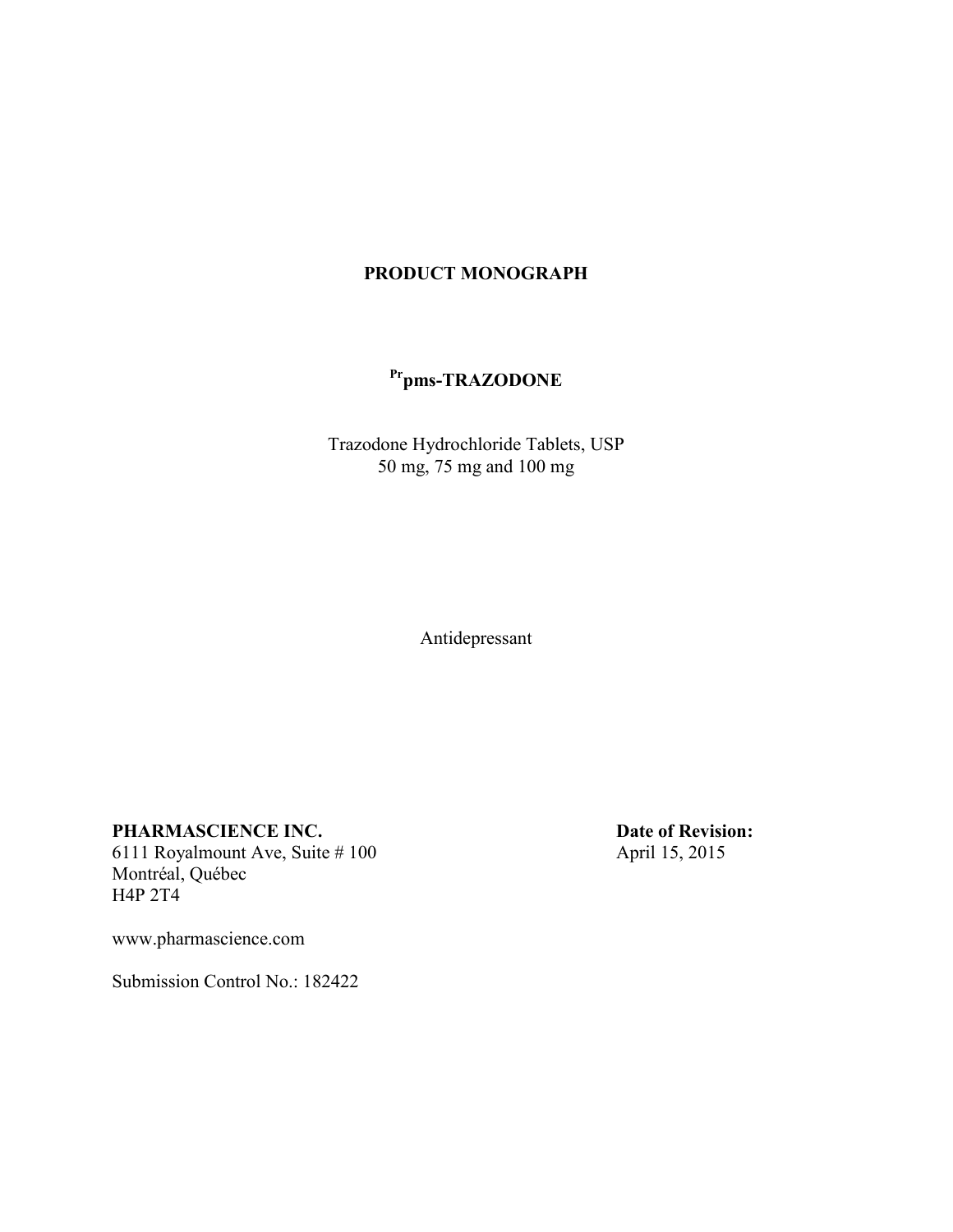## **PRODUCT MONOGRAPH**

# **Prpms-TRAZODONE**

Trazodone Hydrochloride Tablets, USP 50 mg, 75 mg and 100 mg

Antidepressant

6111 Royalmount Ave, Suite  $#100$ Montréal, Québec H4P 2T4

**PHARMASCIENCE INC.**<br> **Date of Revision:**<br> **Date of Revision:**<br>
April 15, 2015

www.pharmascience.com

Submission Control No.: 182422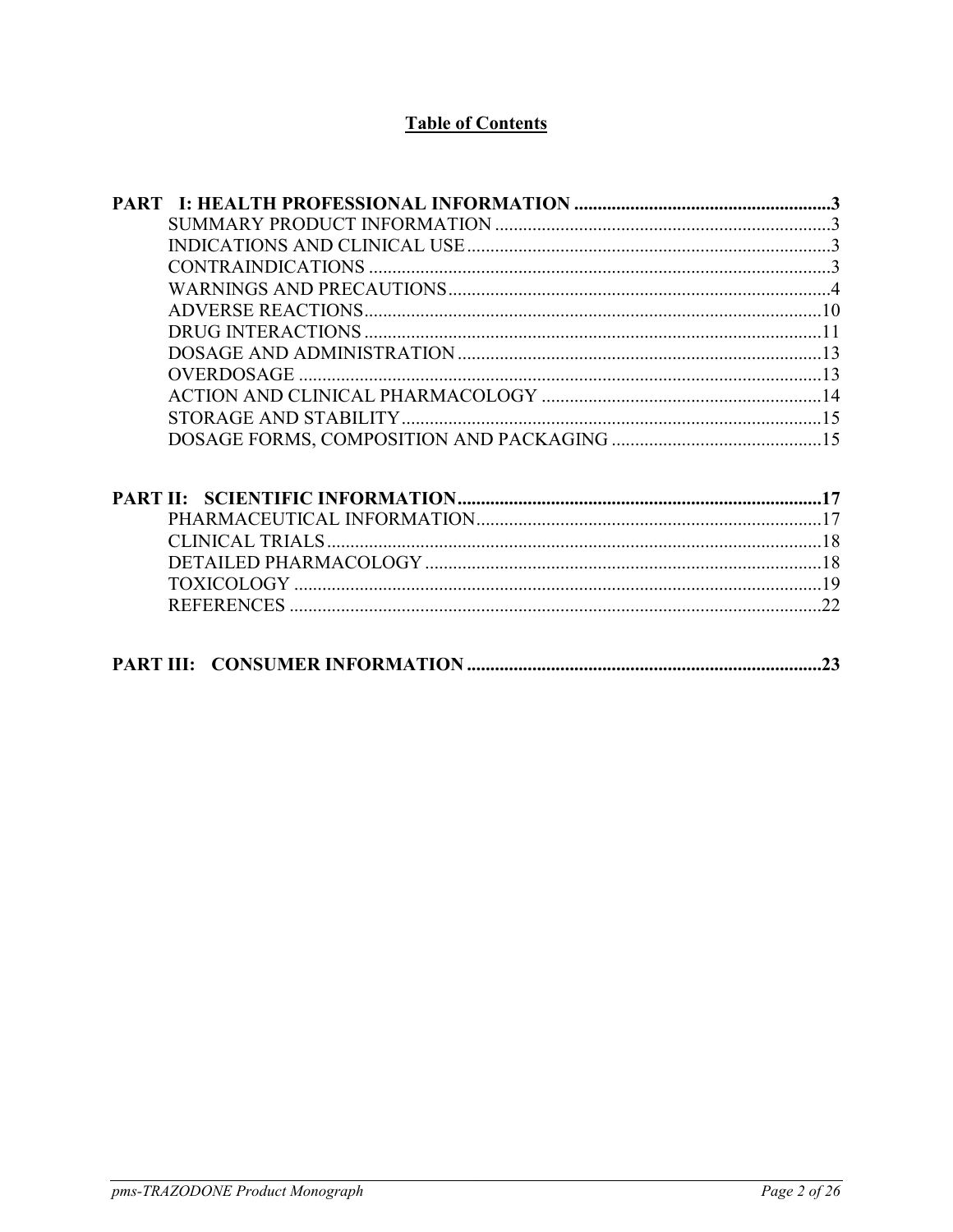## **Table of Contents**

| .23 |
|-----|
|     |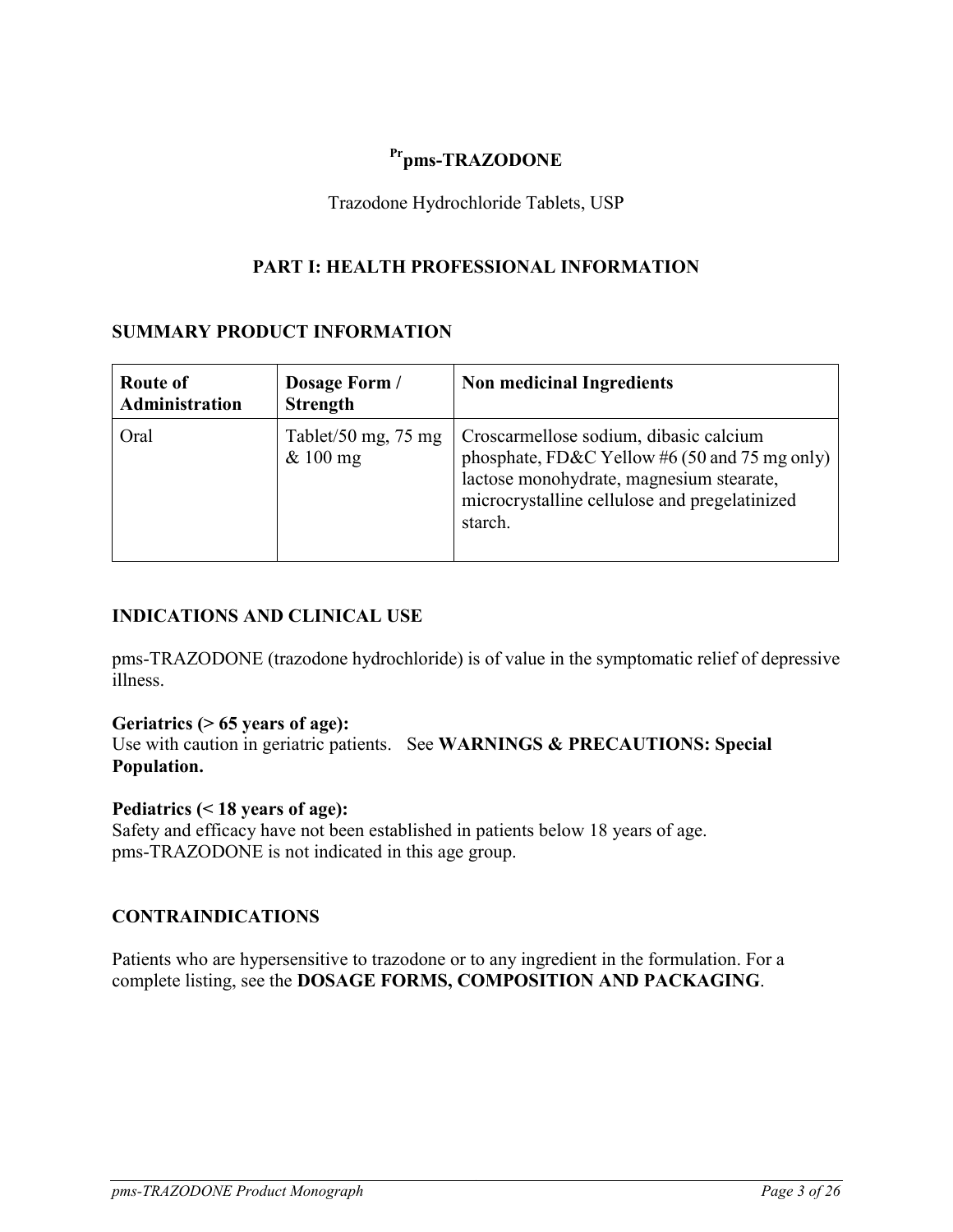## <span id="page-2-0"></span>**Prpms-TRAZODONE**

<span id="page-2-1"></span>Trazodone Hydrochloride Tablets, USP

## **PART I: HEALTH PROFESSIONAL INFORMATION**

### **SUMMARY PRODUCT INFORMATION**

| <b>Route of</b><br>Administration | Dosage Form /<br><b>Strength</b>            | <b>Non medicinal Ingredients</b>                                                                                                                                                                |
|-----------------------------------|---------------------------------------------|-------------------------------------------------------------------------------------------------------------------------------------------------------------------------------------------------|
| Oral                              | Tablet/50 mg, $75 \text{ mg}$<br>$& 100$ mg | Croscarmellose sodium, dibasic calcium<br>phosphate, FD&C Yellow #6 (50 and 75 mg only)<br>lactose monohydrate, magnesium stearate,<br>microcrystalline cellulose and pregelatinized<br>starch. |

## <span id="page-2-2"></span>**INDICATIONS AND CLINICAL USE**

pms-TRAZODONE (trazodone hydrochloride) is of value in the symptomatic relief of depressive illness.

## **Geriatrics (> 65 years of age):**

Use with caution in geriatric patients. See **WARNINGS & PRECAUTIONS: Special Population.**

### **Pediatrics (< 18 years of age):**

Safety and efficacy have not been established in patients below 18 years of age. pms-TRAZODONE is not indicated in this age group.

### <span id="page-2-3"></span>**CONTRAINDICATIONS**

Patients who are hypersensitive to trazodone or to any ingredient in the formulation. For a complete listing, see the **DOSAGE FORMS, COMPOSITION AND PACKAGING**.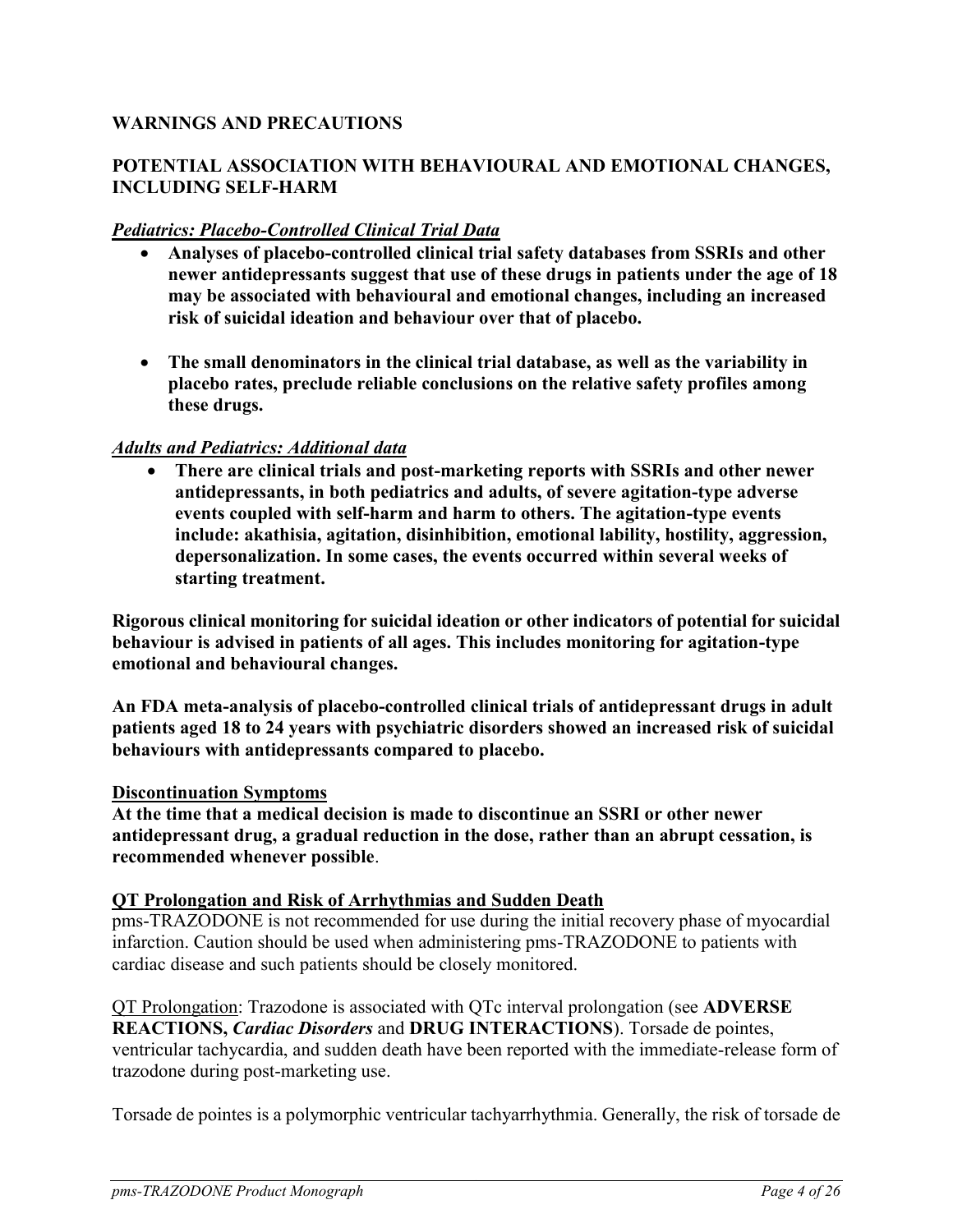## <span id="page-3-0"></span>**WARNINGS AND PRECAUTIONS**

## **POTENTIAL ASSOCIATION WITH BEHAVIOURAL AND EMOTIONAL CHANGES, INCLUDING SELF-HARM**

## *Pediatrics: Placebo-Controlled Clinical Trial Data*

- **Analyses of placebo-controlled clinical trial safety databases from SSRIs and other newer antidepressants suggest that use of these drugs in patients under the age of 18 may be associated with behavioural and emotional changes, including an increased risk of suicidal ideation and behaviour over that of placebo.**
- **The small denominators in the clinical trial database, as well as the variability in placebo rates, preclude reliable conclusions on the relative safety profiles among these drugs.**

### *Adults and Pediatrics: Additional data*

 **There are clinical trials and post-marketing reports with SSRIs and other newer antidepressants, in both pediatrics and adults, of severe agitation-type adverse events coupled with self-harm and harm to others. The agitation-type events include: akathisia, agitation, disinhibition, emotional lability, hostility, aggression, depersonalization. In some cases, the events occurred within several weeks of starting treatment.**

**Rigorous clinical monitoring for suicidal ideation or other indicators of potential for suicidal behaviour is advised in patients of all ages. This includes monitoring for agitation-type emotional and behavioural changes.**

**An FDA meta-analysis of placebo-controlled clinical trials of antidepressant drugs in adult patients aged 18 to 24 years with psychiatric disorders showed an increased risk of suicidal behaviours with antidepressants compared to placebo.**

#### **Discontinuation Symptoms**

**At the time that a medical decision is made to discontinue an SSRI or other newer antidepressant drug, a gradual reduction in the dose, rather than an abrupt cessation, is recommended whenever possible**.

#### **QT Prolongation and Risk of Arrhythmias and Sudden Death**

pms-TRAZODONE is not recommended for use during the initial recovery phase of myocardial infarction. Caution should be used when administering pms-TRAZODONE to patients with cardiac disease and such patients should be closely monitored.

QT Prolongation: Trazodone is associated with QTc interval prolongation (see **ADVERSE REACTIONS,** *Cardiac Disorders* and **DRUG INTERACTIONS**). Torsade de pointes, ventricular tachycardia, and sudden death have been reported with the immediate-release form of trazodone during post-marketing use.

Torsade de pointes is a polymorphic ventricular tachyarrhythmia. Generally, the risk of torsade de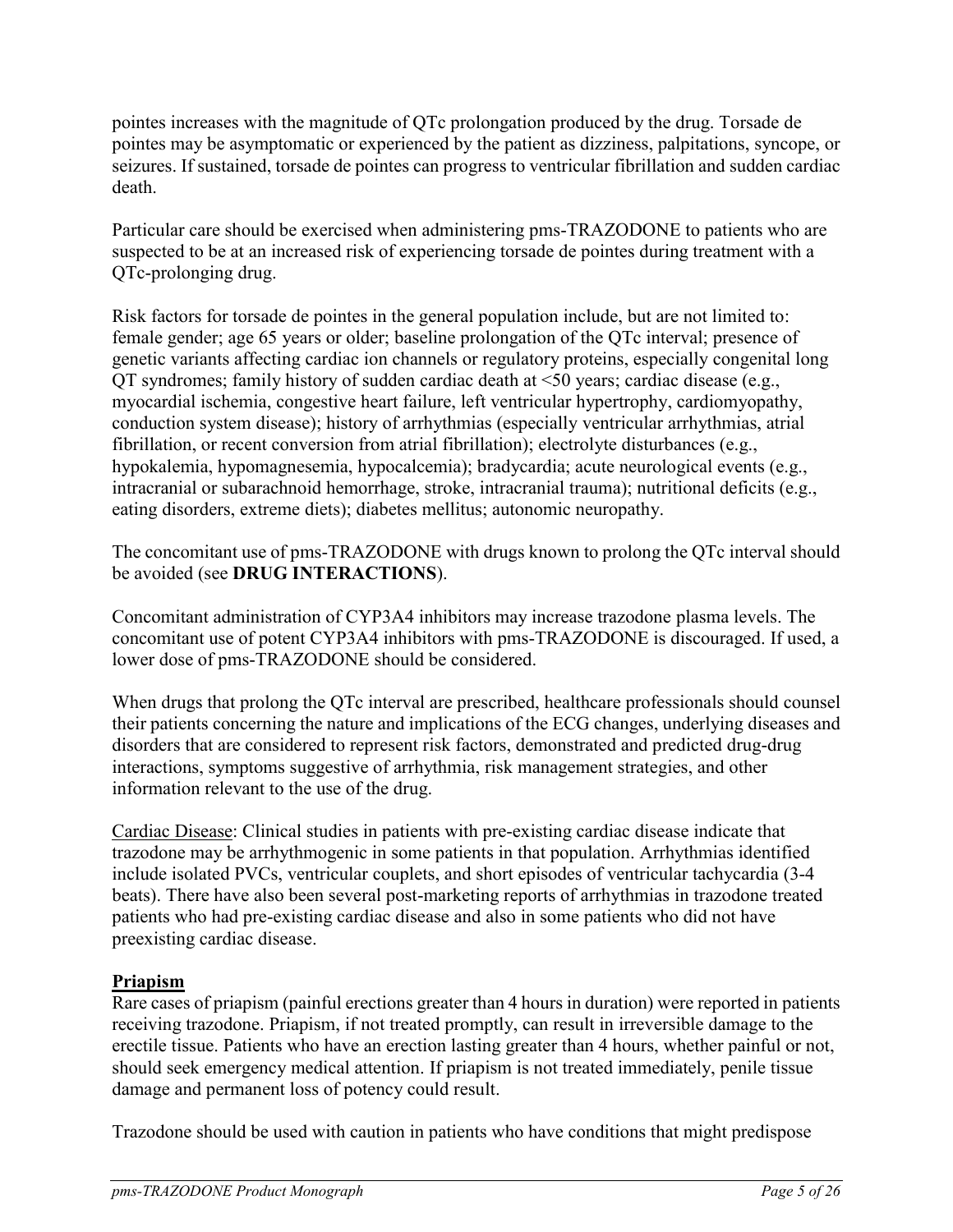pointes increases with the magnitude of QTc prolongation produced by the drug. Torsade de pointes may be asymptomatic or experienced by the patient as dizziness, palpitations, syncope, or seizures. If sustained, torsade de pointes can progress to ventricular fibrillation and sudden cardiac death.

Particular care should be exercised when administering pms-TRAZODONE to patients who are suspected to be at an increased risk of experiencing torsade de pointes during treatment with a QTc-prolonging drug.

Risk factors for torsade de pointes in the general population include, but are not limited to: female gender; age 65 years or older; baseline prolongation of the QTc interval; presence of genetic variants affecting cardiac ion channels or regulatory proteins, especially congenital long QT syndromes; family history of sudden cardiac death at <50 years; cardiac disease (e.g., myocardial ischemia, congestive heart failure, left ventricular hypertrophy, cardiomyopathy, conduction system disease); history of arrhythmias (especially ventricular arrhythmias, atrial fibrillation, or recent conversion from atrial fibrillation); electrolyte disturbances (e.g., hypokalemia, hypomagnesemia, hypocalcemia); bradycardia; acute neurological events (e.g., intracranial or subarachnoid hemorrhage, stroke, intracranial trauma); nutritional deficits (e.g., eating disorders, extreme diets); diabetes mellitus; autonomic neuropathy.

The concomitant use of pms-TRAZODONE with drugs known to prolong the QTc interval should be avoided (see **DRUG INTERACTIONS**).

Concomitant administration of CYP3A4 inhibitors may increase trazodone plasma levels. The concomitant use of potent CYP3A4 inhibitors with pms-TRAZODONE is discouraged. If used, a lower dose of pms-TRAZODONE should be considered.

When drugs that prolong the OTc interval are prescribed, healthcare professionals should counsel their patients concerning the nature and implications of the ECG changes, underlying diseases and disorders that are considered to represent risk factors, demonstrated and predicted drug-drug interactions, symptoms suggestive of arrhythmia, risk management strategies, and other information relevant to the use of the drug.

Cardiac Disease: Clinical studies in patients with pre-existing cardiac disease indicate that trazodone may be arrhythmogenic in some patients in that population. Arrhythmias identified include isolated PVCs, ventricular couplets, and short episodes of ventricular tachycardia (3-4 beats). There have also been several post-marketing reports of arrhythmias in trazodone treated patients who had pre-existing cardiac disease and also in some patients who did not have preexisting cardiac disease.

## **Priapism**

Rare cases of priapism (painful erections greater than 4 hours in duration) were reported in patients receiving trazodone. Priapism, if not treated promptly, can result in irreversible damage to the erectile tissue. Patients who have an erection lasting greater than 4 hours, whether painful or not, should seek emergency medical attention. If priapism is not treated immediately, penile tissue damage and permanent loss of potency could result.

Trazodone should be used with caution in patients who have conditions that might predispose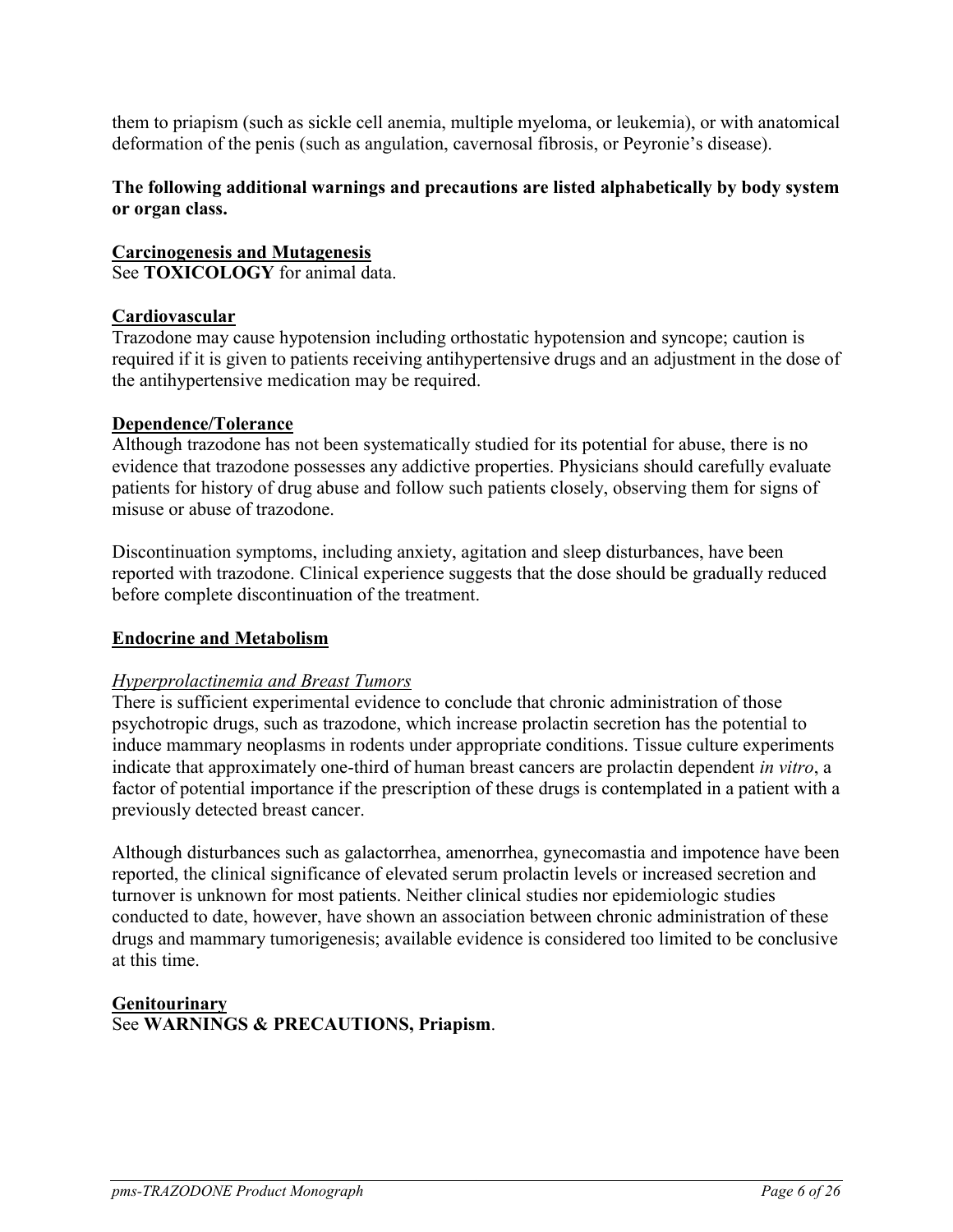them to priapism (such as sickle cell anemia, multiple myeloma, or leukemia), or with anatomical deformation of the penis (such as angulation, cavernosal fibrosis, or Peyronie's disease).

### **The following additional warnings and precautions are listed alphabetically by body system or organ class.**

# **Carcinogenesis and Mutagenesis**

See **TOXICOLOGY** for animal data.

## **Cardiovascular**

Trazodone may cause hypotension including orthostatic hypotension and syncope; caution is required if it is given to patients receiving antihypertensive drugs and an adjustment in the dose of the antihypertensive medication may be required.

### **Dependence/Tolerance**

Although trazodone has not been systematically studied for its potential for abuse, there is no evidence that trazodone possesses any addictive properties. Physicians should carefully evaluate patients for history of drug abuse and follow such patients closely, observing them for signs of misuse or abuse of trazodone.

Discontinuation symptoms, including anxiety, agitation and sleep disturbances, have been reported with trazodone. Clinical experience suggests that the dose should be gradually reduced before complete discontinuation of the treatment.

## **Endocrine and Metabolism**

## *Hyperprolactinemia and Breast Tumors*

There is sufficient experimental evidence to conclude that chronic administration of those psychotropic drugs, such as trazodone, which increase prolactin secretion has the potential to induce mammary neoplasms in rodents under appropriate conditions. Tissue culture experiments indicate that approximately one-third of human breast cancers are prolactin dependent *in vitro*, a factor of potential importance if the prescription of these drugs is contemplated in a patient with a previously detected breast cancer.

Although disturbances such as galactorrhea, amenorrhea, gynecomastia and impotence have been reported, the clinical significance of elevated serum prolactin levels or increased secretion and turnover is unknown for most patients. Neither clinical studies nor epidemiologic studies conducted to date, however, have shown an association between chronic administration of these drugs and mammary tumorigenesis; available evidence is considered too limited to be conclusive at this time.

#### **Genitourinary** See **WARNINGS & PRECAUTIONS, Priapism**.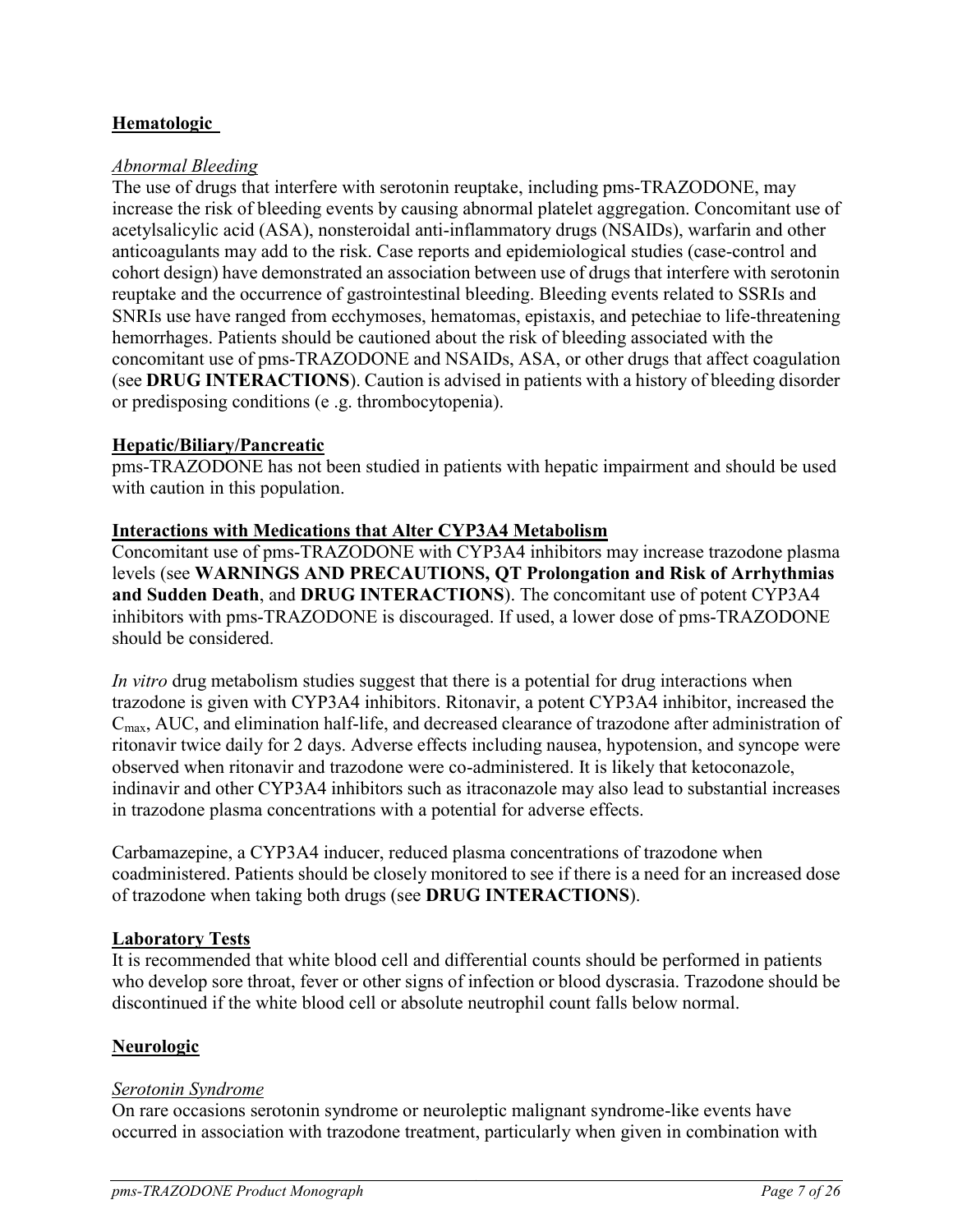## **Hematologic**

#### *Abnormal Bleeding*

The use of drugs that interfere with serotonin reuptake, including pms-TRAZODONE, may increase the risk of bleeding events by causing abnormal platelet aggregation. Concomitant use of acetylsalicylic acid (ASA), nonsteroidal anti-inflammatory drugs (NSAIDs), warfarin and other anticoagulants may add to the risk. Case reports and epidemiological studies (case-control and cohort design) have demonstrated an association between use of drugs that interfere with serotonin reuptake and the occurrence of gastrointestinal bleeding. Bleeding events related to SSRIs and SNRIs use have ranged from ecchymoses, hematomas, epistaxis, and petechiae to life-threatening hemorrhages. Patients should be cautioned about the risk of bleeding associated with the concomitant use of pms-TRAZODONE and NSAIDs, ASA, or other drugs that affect coagulation (see **DRUG INTERACTIONS**). Caution is advised in patients with a history of bleeding disorder or predisposing conditions (e .g. thrombocytopenia).

#### **Hepatic/Biliary/Pancreatic**

pms-TRAZODONE has not been studied in patients with hepatic impairment and should be used with caution in this population.

#### **Interactions with Medications that Alter CYP3A4 Metabolism**

Concomitant use of pms-TRAZODONE with CYP3A4 inhibitors may increase trazodone plasma levels (see **WARNINGS AND PRECAUTIONS, QT Prolongation and Risk of Arrhythmias and Sudden Death**, and **DRUG INTERACTIONS**). The concomitant use of potent CYP3A4 inhibitors with pms-TRAZODONE is discouraged. If used, a lower dose of pms-TRAZODONE should be considered.

*In vitro* drug metabolism studies suggest that there is a potential for drug interactions when trazodone is given with CYP3A4 inhibitors. Ritonavir, a potent CYP3A4 inhibitor, increased the Cmax, AUC, and elimination half-life, and decreased clearance of trazodone after administration of ritonavir twice daily for 2 days. Adverse effects including nausea, hypotension, and syncope were observed when ritonavir and trazodone were co-administered. It is likely that ketoconazole, indinavir and other CYP3A4 inhibitors such as itraconazole may also lead to substantial increases in trazodone plasma concentrations with a potential for adverse effects.

Carbamazepine, a CYP3A4 inducer, reduced plasma concentrations of trazodone when coadministered. Patients should be closely monitored to see if there is a need for an increased dose of trazodone when taking both drugs (see **DRUG INTERACTIONS**).

#### **Laboratory Tests**

It is recommended that white blood cell and differential counts should be performed in patients who develop sore throat, fever or other signs of infection or blood dyscrasia. Trazodone should be discontinued if the white blood cell or absolute neutrophil count falls below normal.

### **Neurologic**

#### *Serotonin Syndrome*

On rare occasions serotonin syndrome or neuroleptic malignant syndrome-like events have occurred in association with trazodone treatment, particularly when given in combination with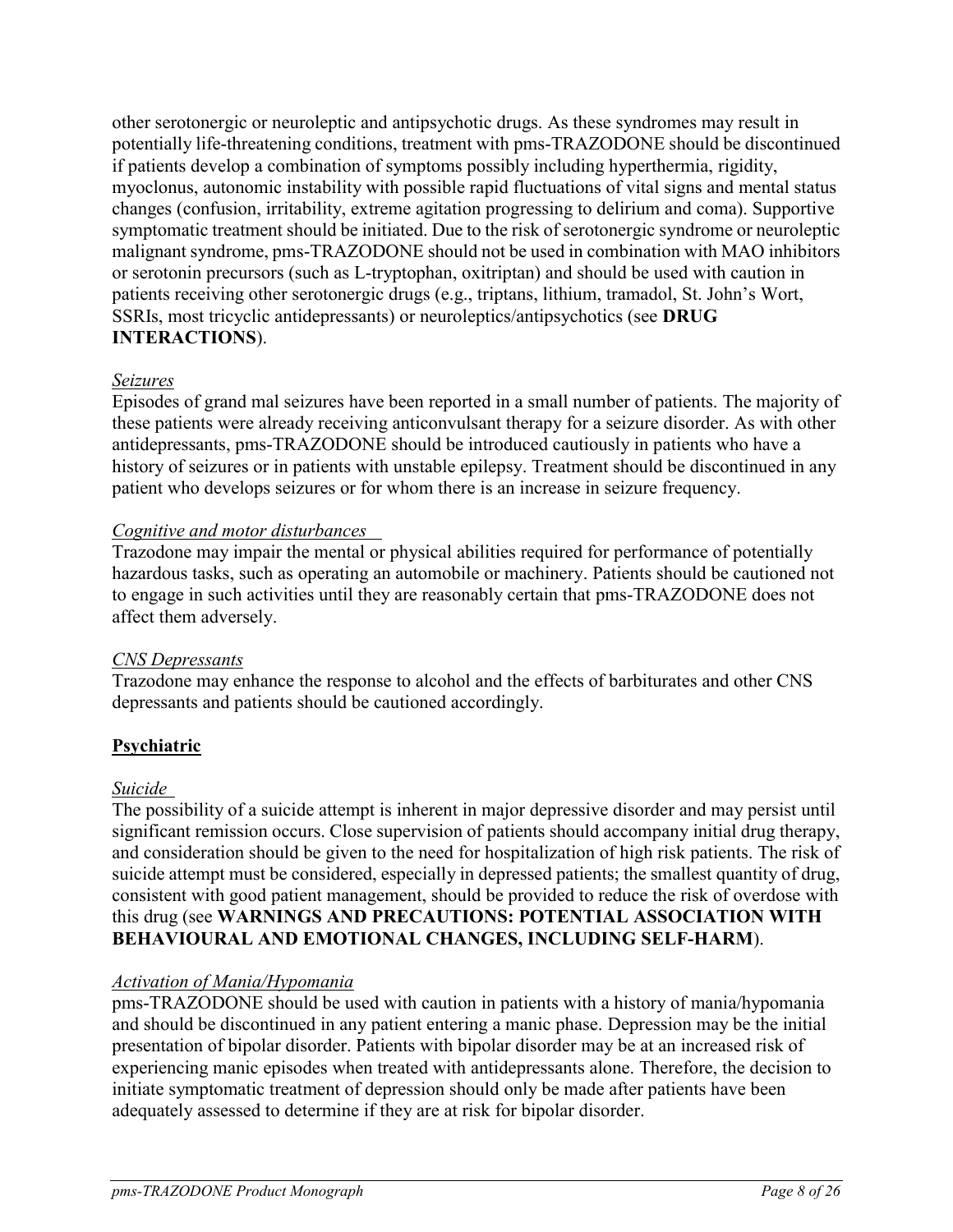other serotonergic or neuroleptic and antipsychotic drugs. As these syndromes may result in potentially life-threatening conditions, treatment with pms-TRAZODONE should be discontinued if patients develop a combination of symptoms possibly including hyperthermia, rigidity, myoclonus, autonomic instability with possible rapid fluctuations of vital signs and mental status changes (confusion, irritability, extreme agitation progressing to delirium and coma). Supportive symptomatic treatment should be initiated. Due to the risk of serotonergic syndrome or neuroleptic malignant syndrome, pms-TRAZODONE should not be used in combination with MAO inhibitors or serotonin precursors (such as L-tryptophan, oxitriptan) and should be used with caution in patients receiving other serotonergic drugs (e.g., triptans, lithium, tramadol, St. John's Wort, SSRIs, most tricyclic antidepressants) or neuroleptics/antipsychotics (see **DRUG INTERACTIONS**).

### *Seizures*

Episodes of grand mal seizures have been reported in a small number of patients. The majority of these patients were already receiving anticonvulsant therapy for a seizure disorder. As with other antidepressants, pms-TRAZODONE should be introduced cautiously in patients who have a history of seizures or in patients with unstable epilepsy. Treatment should be discontinued in any patient who develops seizures or for whom there is an increase in seizure frequency.

### *Cognitive and motor disturbances*

Trazodone may impair the mental or physical abilities required for performance of potentially hazardous tasks, such as operating an automobile or machinery. Patients should be cautioned not to engage in such activities until they are reasonably certain that pms-TRAZODONE does not affect them adversely.

### *CNS Depressants*

Trazodone may enhance the response to alcohol and the effects of barbiturates and other CNS depressants and patients should be cautioned accordingly.

## **Psychiatric**

### *Suicide*

The possibility of a suicide attempt is inherent in major depressive disorder and may persist until significant remission occurs. Close supervision of patients should accompany initial drug therapy, and consideration should be given to the need for hospitalization of high risk patients. The risk of suicide attempt must be considered, especially in depressed patients; the smallest quantity of drug, consistent with good patient management, should be provided to reduce the risk of overdose with this drug (see **WARNINGS AND PRECAUTIONS: POTENTIAL ASSOCIATION WITH BEHAVIOURAL AND EMOTIONAL CHANGES, INCLUDING SELF-HARM**).

### *Activation of Mania/Hypomania*

pms-TRAZODONE should be used with caution in patients with a history of mania/hypomania and should be discontinued in any patient entering a manic phase. Depression may be the initial presentation of bipolar disorder. Patients with bipolar disorder may be at an increased risk of experiencing manic episodes when treated with antidepressants alone. Therefore, the decision to initiate symptomatic treatment of depression should only be made after patients have been adequately assessed to determine if they are at risk for bipolar disorder.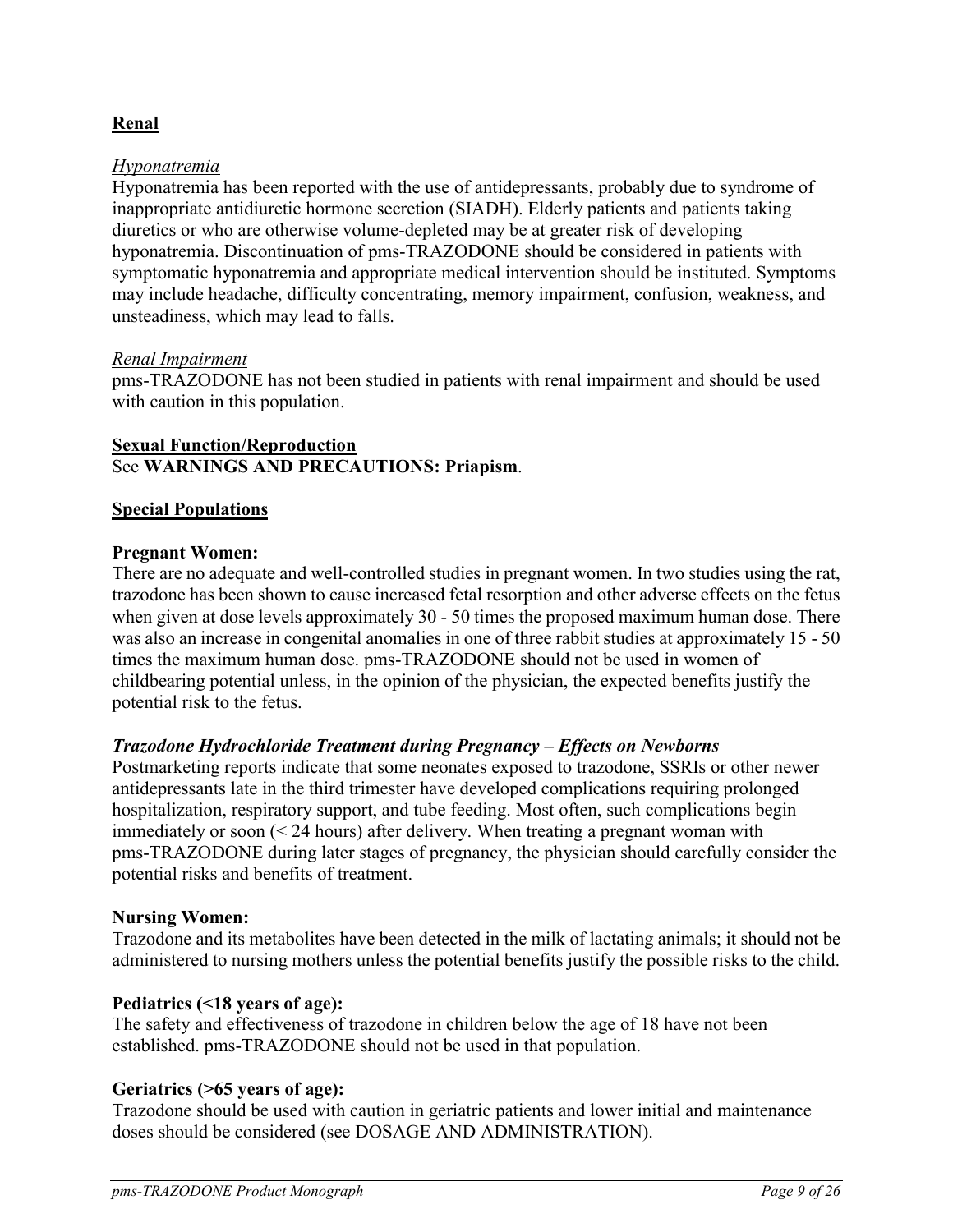## **Renal**

#### *Hyponatremia*

Hyponatremia has been reported with the use of antidepressants, probably due to syndrome of inappropriate antidiuretic hormone secretion (SIADH). Elderly patients and patients taking diuretics or who are otherwise volume-depleted may be at greater risk of developing hyponatremia. Discontinuation of pms-TRAZODONE should be considered in patients with symptomatic hyponatremia and appropriate medical intervention should be instituted. Symptoms may include headache, difficulty concentrating, memory impairment, confusion, weakness, and unsteadiness, which may lead to falls.

#### *Renal Impairment*

pms-TRAZODONE has not been studied in patients with renal impairment and should be used with caution in this population.

#### **Sexual Function/Reproduction** See **WARNINGS AND PRECAUTIONS: Priapism**.

#### **Special Populations**

#### **Pregnant Women:**

There are no adequate and well-controlled studies in pregnant women. In two studies using the rat, trazodone has been shown to cause increased fetal resorption and other adverse effects on the fetus when given at dose levels approximately 30 - 50 times the proposed maximum human dose. There was also an increase in congenital anomalies in one of three rabbit studies at approximately 15 - 50 times the maximum human dose. pms-TRAZODONE should not be used in women of childbearing potential unless, in the opinion of the physician, the expected benefits justify the potential risk to the fetus.

#### *Trazodone Hydrochloride Treatment during Pregnancy – Effects on Newborns*

Postmarketing reports indicate that some neonates exposed to trazodone, SSRIs or other newer antidepressants late in the third trimester have developed complications requiring prolonged hospitalization, respiratory support, and tube feeding. Most often, such complications begin immediately or soon (< 24 hours) after delivery. When treating a pregnant woman with pms-TRAZODONE during later stages of pregnancy, the physician should carefully consider the potential risks and benefits of treatment.

#### **Nursing Women:**

Trazodone and its metabolites have been detected in the milk of lactating animals; it should not be administered to nursing mothers unless the potential benefits justify the possible risks to the child.

#### **Pediatrics (<18 years of age):**

The safety and effectiveness of trazodone in children below the age of 18 have not been established. pms-TRAZODONE should not be used in that population.

#### **Geriatrics (>65 years of age):**

Trazodone should be used with caution in geriatric patients and lower initial and maintenance doses should be considered (see DOSAGE AND ADMINISTRATION).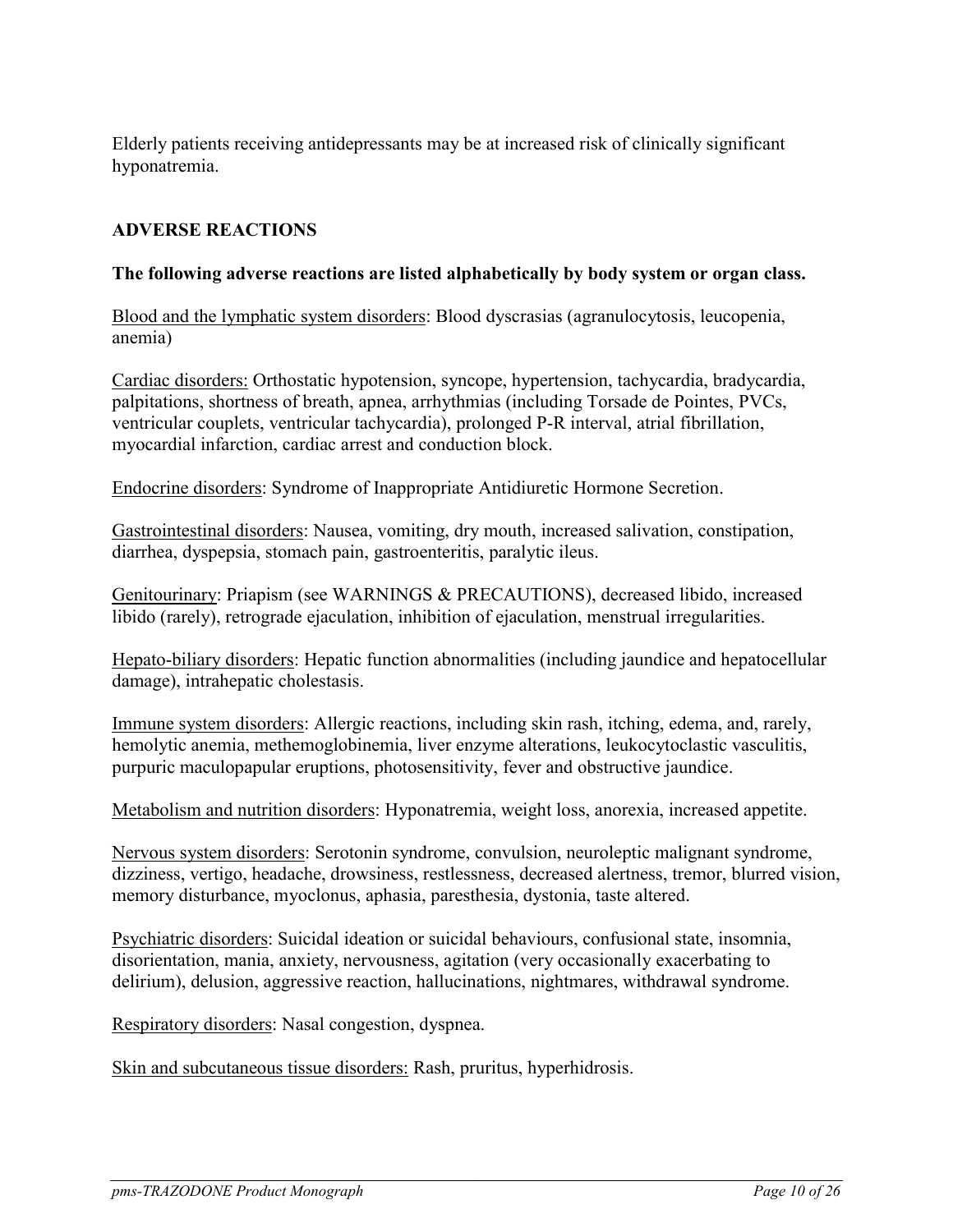Elderly patients receiving antidepressants may be at increased risk of clinically significant hyponatremia.

## <span id="page-9-0"></span>**ADVERSE REACTIONS**

#### **The following adverse reactions are listed alphabetically by body system or organ class.**

Blood and the lymphatic system disorders: Blood dyscrasias (agranulocytosis, leucopenia, anemia)

Cardiac disorders: Orthostatic hypotension, syncope, hypertension, tachycardia, bradycardia, palpitations, shortness of breath, apnea, arrhythmias (including Torsade de Pointes, PVCs, ventricular couplets, ventricular tachycardia), prolonged P-R interval, atrial fibrillation, myocardial infarction, cardiac arrest and conduction block.

Endocrine disorders: Syndrome of Inappropriate Antidiuretic Hormone Secretion.

Gastrointestinal disorders: Nausea, vomiting, dry mouth, increased salivation, constipation, diarrhea, dyspepsia, stomach pain, gastroenteritis, paralytic ileus.

Genitourinary: Priapism (see WARNINGS & PRECAUTIONS), decreased libido, increased libido (rarely), retrograde ejaculation, inhibition of ejaculation, menstrual irregularities.

Hepato-biliary disorders: Hepatic function abnormalities (including jaundice and hepatocellular damage), intrahepatic cholestasis.

Immune system disorders: Allergic reactions, including skin rash, itching, edema, and, rarely, hemolytic anemia, methemoglobinemia, liver enzyme alterations, leukocytoclastic vasculitis, purpuric maculopapular eruptions, photosensitivity, fever and obstructive jaundice.

Metabolism and nutrition disorders: Hyponatremia, weight loss, anorexia, increased appetite.

Nervous system disorders: Serotonin syndrome, convulsion, neuroleptic malignant syndrome, dizziness, vertigo, headache, drowsiness, restlessness, decreased alertness, tremor, blurred vision, memory disturbance, myoclonus, aphasia, paresthesia, dystonia, taste altered.

Psychiatric disorders: Suicidal ideation or suicidal behaviours, confusional state, insomnia, disorientation, mania, anxiety, nervousness, agitation (very occasionally exacerbating to delirium), delusion, aggressive reaction, hallucinations, nightmares, withdrawal syndrome.

Respiratory disorders: Nasal congestion, dyspnea.

Skin and subcutaneous tissue disorders: Rash, pruritus, hyperhidrosis.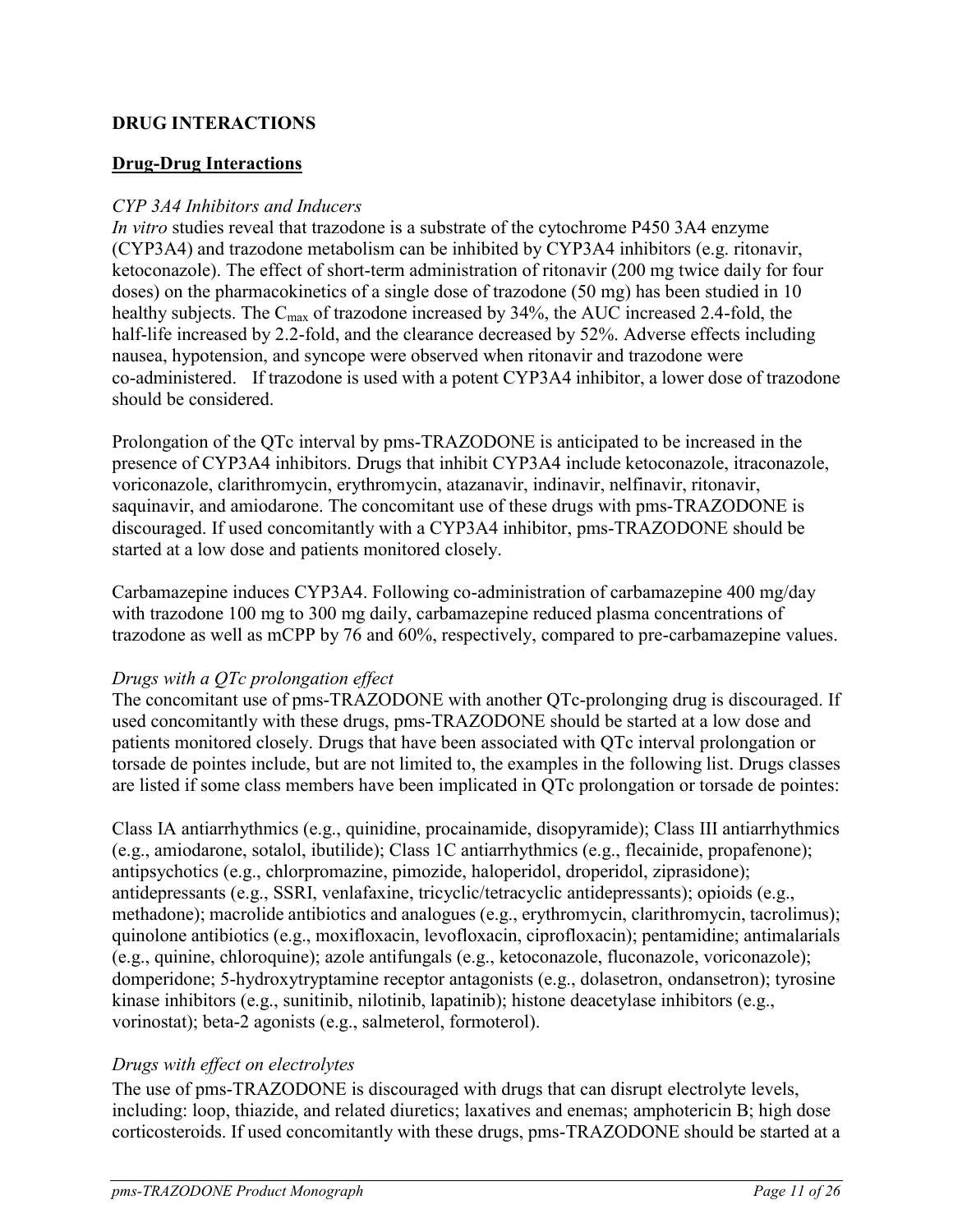## <span id="page-10-0"></span>**DRUG INTERACTIONS**

## **Drug-Drug Interactions**

### *CYP 3A4 Inhibitors and Inducers*

*In vitro* studies reveal that trazodone is a substrate of the cytochrome P450 3A4 enzyme (CYP3A4) and trazodone metabolism can be inhibited by CYP3A4 inhibitors (e.g. ritonavir, ketoconazole). The effect of short-term administration of ritonavir (200 mg twice daily for four doses) on the pharmacokinetics of a single dose of trazodone (50 mg) has been studied in 10 healthy subjects. The C<sub>max</sub> of trazodone increased by 34%, the AUC increased 2.4-fold, the half-life increased by 2.2-fold, and the clearance decreased by 52%. Adverse effects including nausea, hypotension, and syncope were observed when ritonavir and trazodone were co-administered. If trazodone is used with a potent CYP3A4 inhibitor, a lower dose of trazodone should be considered.

Prolongation of the QTc interval by pms-TRAZODONE is anticipated to be increased in the presence of CYP3A4 inhibitors. Drugs that inhibit CYP3A4 include ketoconazole, itraconazole, voriconazole, clarithromycin, erythromycin, atazanavir, indinavir, nelfinavir, ritonavir, saquinavir, and amiodarone. The concomitant use of these drugs with pms-TRAZODONE is discouraged. If used concomitantly with a CYP3A4 inhibitor, pms-TRAZODONE should be started at a low dose and patients monitored closely.

Carbamazepine induces CYP3A4. Following co-administration of carbamazepine 400 mg/day with trazodone 100 mg to 300 mg daily, carbamazepine reduced plasma concentrations of trazodone as well as mCPP by 76 and 60%, respectively, compared to pre-carbamazepine values.

### *Drugs with a QTc prolongation effect*

The concomitant use of pms-TRAZODONE with another QTc-prolonging drug is discouraged. If used concomitantly with these drugs, pms-TRAZODONE should be started at a low dose and patients monitored closely. Drugs that have been associated with QTc interval prolongation or torsade de pointes include, but are not limited to, the examples in the following list. Drugs classes are listed if some class members have been implicated in QTc prolongation or torsade de pointes:

Class IA antiarrhythmics (e.g., quinidine, procainamide, disopyramide); Class III antiarrhythmics (e.g., amiodarone, sotalol, ibutilide); Class 1C antiarrhythmics (e.g., flecainide, propafenone); antipsychotics (e.g., chlorpromazine, pimozide, haloperidol, droperidol, ziprasidone); antidepressants (e.g., SSRI, venlafaxine, tricyclic/tetracyclic antidepressants); opioids (e.g., methadone); macrolide antibiotics and analogues (e.g., erythromycin, clarithromycin, tacrolimus); quinolone antibiotics (e.g., moxifloxacin, levofloxacin, ciprofloxacin); pentamidine; antimalarials (e.g., quinine, chloroquine); azole antifungals (e.g., ketoconazole, fluconazole, voriconazole); domperidone; 5-hydroxytryptamine receptor antagonists (e.g., dolasetron, ondansetron); tyrosine kinase inhibitors (e.g., sunitinib, nilotinib, lapatinib); histone deacetylase inhibitors (e.g., vorinostat); beta-2 agonists (e.g., salmeterol, formoterol).

## *Drugs with effect on electrolytes*

The use of pms-TRAZODONE is discouraged with drugs that can disrupt electrolyte levels, including: loop, thiazide, and related diuretics; laxatives and enemas; amphotericin B; high dose corticosteroids. If used concomitantly with these drugs, pms-TRAZODONE should be started at a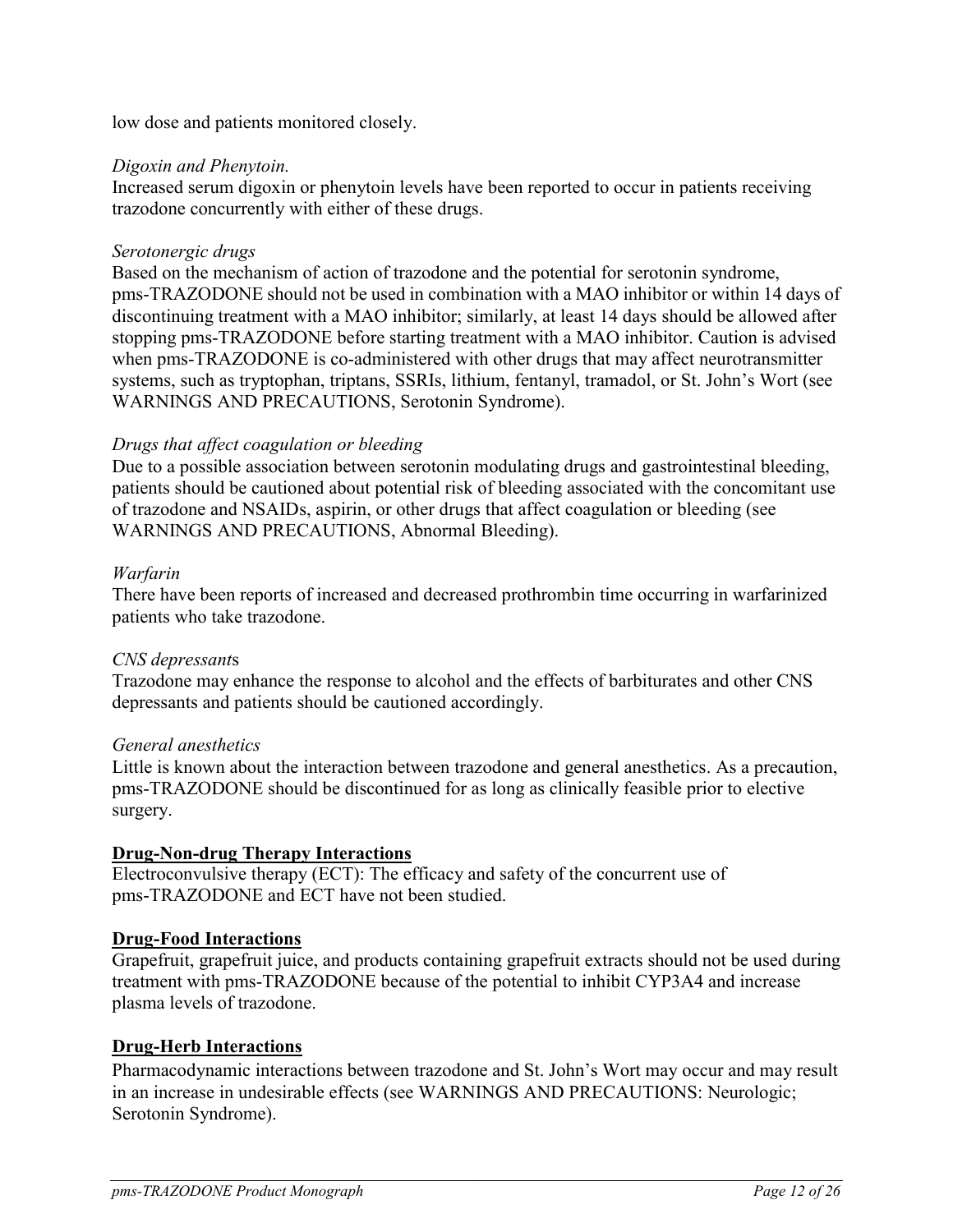low dose and patients monitored closely.

#### *Digoxin and Phenytoin.*

Increased serum digoxin or phenytoin levels have been reported to occur in patients receiving trazodone concurrently with either of these drugs.

#### *Serotonergic drugs*

Based on the mechanism of action of trazodone and the potential for serotonin syndrome, pms-TRAZODONE should not be used in combination with a MAO inhibitor or within 14 days of discontinuing treatment with a MAO inhibitor; similarly, at least 14 days should be allowed after stopping pms-TRAZODONE before starting treatment with a MAO inhibitor. Caution is advised when pms-TRAZODONE is co-administered with other drugs that may affect neurotransmitter systems, such as tryptophan, triptans, SSRIs, lithium, fentanyl, tramadol, or St. John's Wort (see WARNINGS AND PRECAUTIONS, Serotonin Syndrome).

#### *Drugs that affect coagulation or bleeding*

Due to a possible association between serotonin modulating drugs and gastrointestinal bleeding, patients should be cautioned about potential risk of bleeding associated with the concomitant use of trazodone and NSAIDs, aspirin, or other drugs that affect coagulation or bleeding (see WARNINGS AND PRECAUTIONS, Abnormal Bleeding).

#### *Warfarin*

There have been reports of increased and decreased prothrombin time occurring in warfarinized patients who take trazodone.

#### *CNS depressant*s

Trazodone may enhance the response to alcohol and the effects of barbiturates and other CNS depressants and patients should be cautioned accordingly.

#### *General anesthetics*

Little is known about the interaction between trazodone and general anesthetics. As a precaution, pms-TRAZODONE should be discontinued for as long as clinically feasible prior to elective surgery.

### **Drug-Non-drug Therapy Interactions**

Electroconvulsive therapy (ECT): The efficacy and safety of the concurrent use of pms-TRAZODONE and ECT have not been studied.

#### **Drug-Food Interactions**

Grapefruit, grapefruit juice, and products containing grapefruit extracts should not be used during treatment with pms-TRAZODONE because of the potential to inhibit CYP3A4 and increase plasma levels of trazodone.

### **Drug-Herb Interactions**

Pharmacodynamic interactions between trazodone and St. John's Wort may occur and may result in an increase in undesirable effects (see WARNINGS AND PRECAUTIONS: Neurologic; Serotonin Syndrome).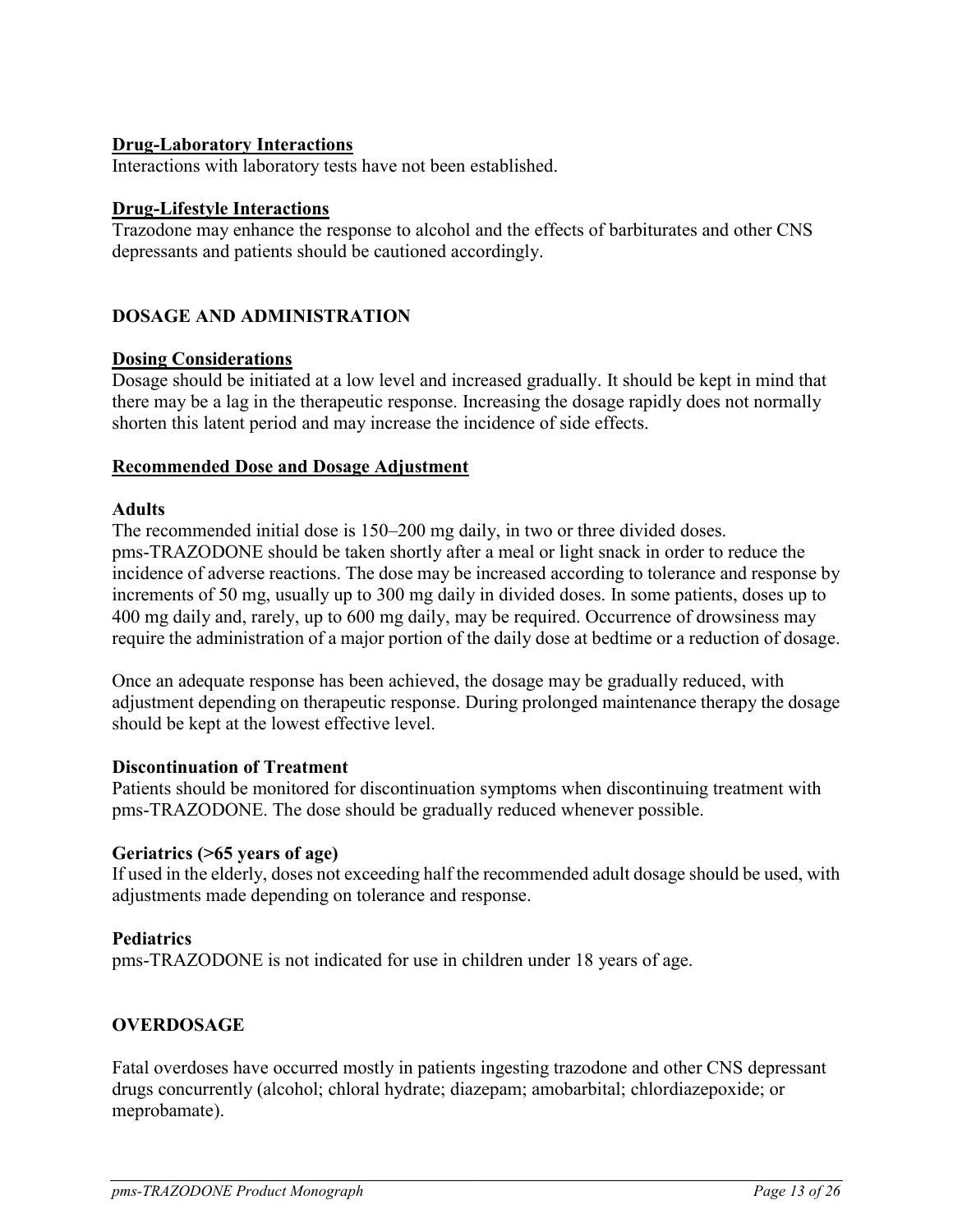### **Drug-Laboratory Interactions**

Interactions with laboratory tests have not been established.

#### **Drug-Lifestyle Interactions**

Trazodone may enhance the response to alcohol and the effects of barbiturates and other CNS depressants and patients should be cautioned accordingly.

### <span id="page-12-0"></span>**DOSAGE AND ADMINISTRATION**

#### **Dosing Considerations**

Dosage should be initiated at a low level and increased gradually. It should be kept in mind that there may be a lag in the therapeutic response. Increasing the dosage rapidly does not normally shorten this latent period and may increase the incidence of side effects.

#### **Recommended Dose and Dosage Adjustment**

#### **Adults**

The recommended initial dose is 150–200 mg daily, in two or three divided doses. pms-TRAZODONE should be taken shortly after a meal or light snack in order to reduce the incidence of adverse reactions. The dose may be increased according to tolerance and response by increments of 50 mg, usually up to 300 mg daily in divided doses. In some patients, doses up to 400 mg daily and, rarely, up to 600 mg daily, may be required. Occurrence of drowsiness may require the administration of a major portion of the daily dose at bedtime or a reduction of dosage.

Once an adequate response has been achieved, the dosage may be gradually reduced, with adjustment depending on therapeutic response. During prolonged maintenance therapy the dosage should be kept at the lowest effective level.

#### **Discontinuation of Treatment**

Patients should be monitored for discontinuation symptoms when discontinuing treatment with pms-TRAZODONE. The dose should be gradually reduced whenever possible.

#### **Geriatrics (>65 years of age)**

If used in the elderly, doses not exceeding half the recommended adult dosage should be used, with adjustments made depending on tolerance and response.

#### **Pediatrics**

pms-TRAZODONE is not indicated for use in children under 18 years of age.

### <span id="page-12-1"></span>**OVERDOSAGE**

Fatal overdoses have occurred mostly in patients ingesting trazodone and other CNS depressant drugs concurrently (alcohol; chloral hydrate; diazepam; amobarbital; chlordiazepoxide; or meprobamate).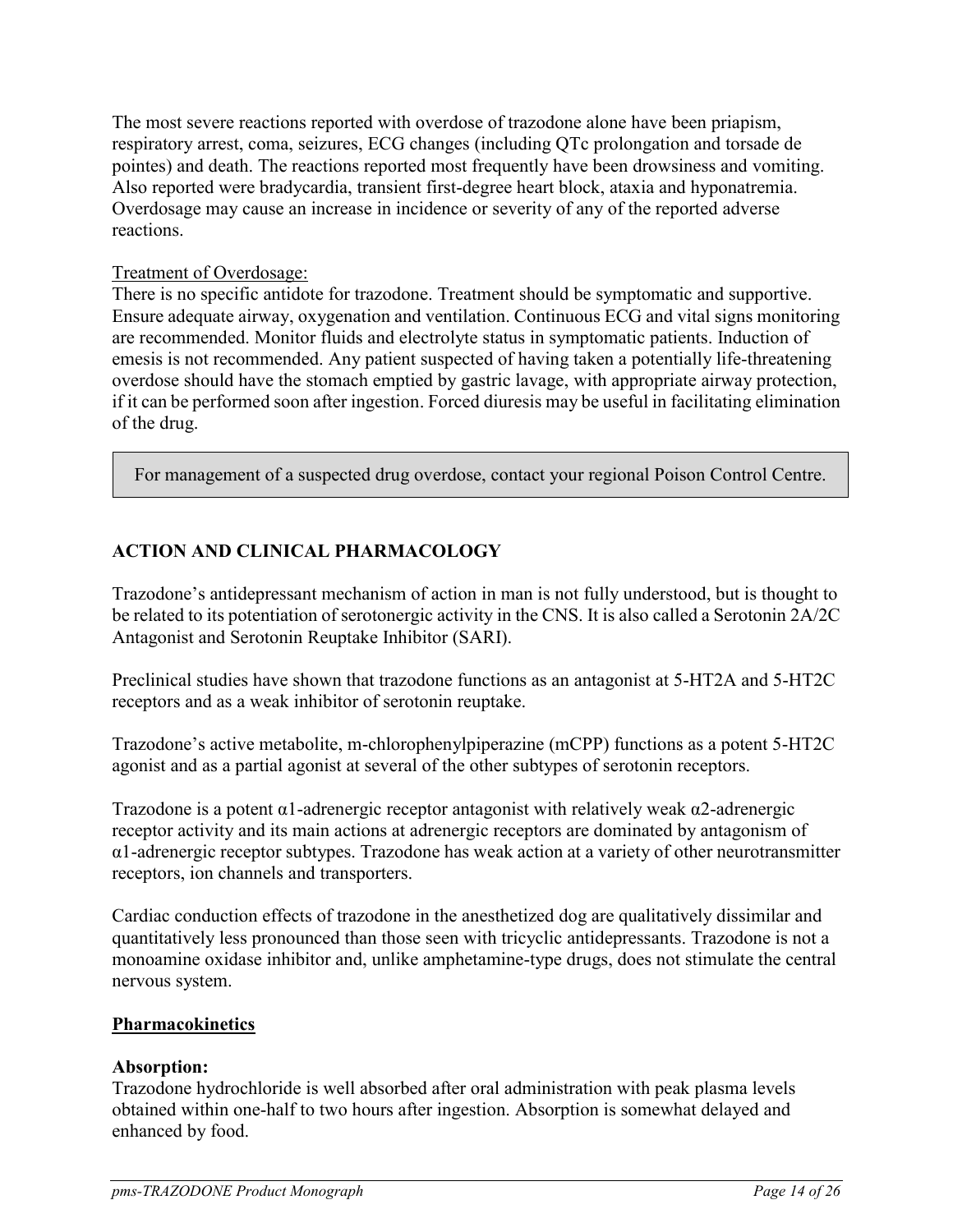The most severe reactions reported with overdose of trazodone alone have been priapism, respiratory arrest, coma, seizures, ECG changes (including QTc prolongation and torsade de pointes) and death. The reactions reported most frequently have been drowsiness and vomiting. Also reported were bradycardia, transient first-degree heart block, ataxia and hyponatremia. Overdosage may cause an increase in incidence or severity of any of the reported adverse reactions.

### Treatment of Overdosage:

There is no specific antidote for trazodone. Treatment should be symptomatic and supportive. Ensure adequate airway, oxygenation and ventilation. Continuous ECG and vital signs monitoring are recommended. Monitor fluids and electrolyte status in symptomatic patients. Induction of emesis is not recommended. Any patient suspected of having taken a potentially life-threatening overdose should have the stomach emptied by gastric lavage, with appropriate airway protection, if it can be performed soon after ingestion. Forced diuresis may be useful in facilitating elimination of the drug.

<span id="page-13-0"></span>For management of a suspected drug overdose, contact your regional Poison Control Centre.

## **ACTION AND CLINICAL PHARMACOLOGY**

Trazodone's antidepressant mechanism of action in man is not fully understood, but is thought to be related to its potentiation of serotonergic activity in the CNS. It is also called a Serotonin 2A/2C Antagonist and Serotonin Reuptake Inhibitor (SARI).

Preclinical studies have shown that trazodone functions as an antagonist at 5-HT2A and 5-HT2C receptors and as a weak inhibitor of serotonin reuptake.

Trazodone's active metabolite, m-chlorophenylpiperazine (mCPP) functions as a potent 5-HT2C agonist and as a partial agonist at several of the other subtypes of serotonin receptors.

Trazodone is a potent  $\alpha$ 1-adrenergic receptor antagonist with relatively weak  $\alpha$ 2-adrenergic receptor activity and its main actions at adrenergic receptors are dominated by antagonism of α1-adrenergic receptor subtypes. Trazodone has weak action at a variety of other neurotransmitter receptors, ion channels and transporters.

Cardiac conduction effects of trazodone in the anesthetized dog are qualitatively dissimilar and quantitatively less pronounced than those seen with tricyclic antidepressants. Trazodone is not a monoamine oxidase inhibitor and, unlike amphetamine-type drugs, does not stimulate the central nervous system.

#### **Pharmacokinetics**

### **Absorption:**

Trazodone hydrochloride is well absorbed after oral administration with peak plasma levels obtained within one-half to two hours after ingestion. Absorption is somewhat delayed and enhanced by food.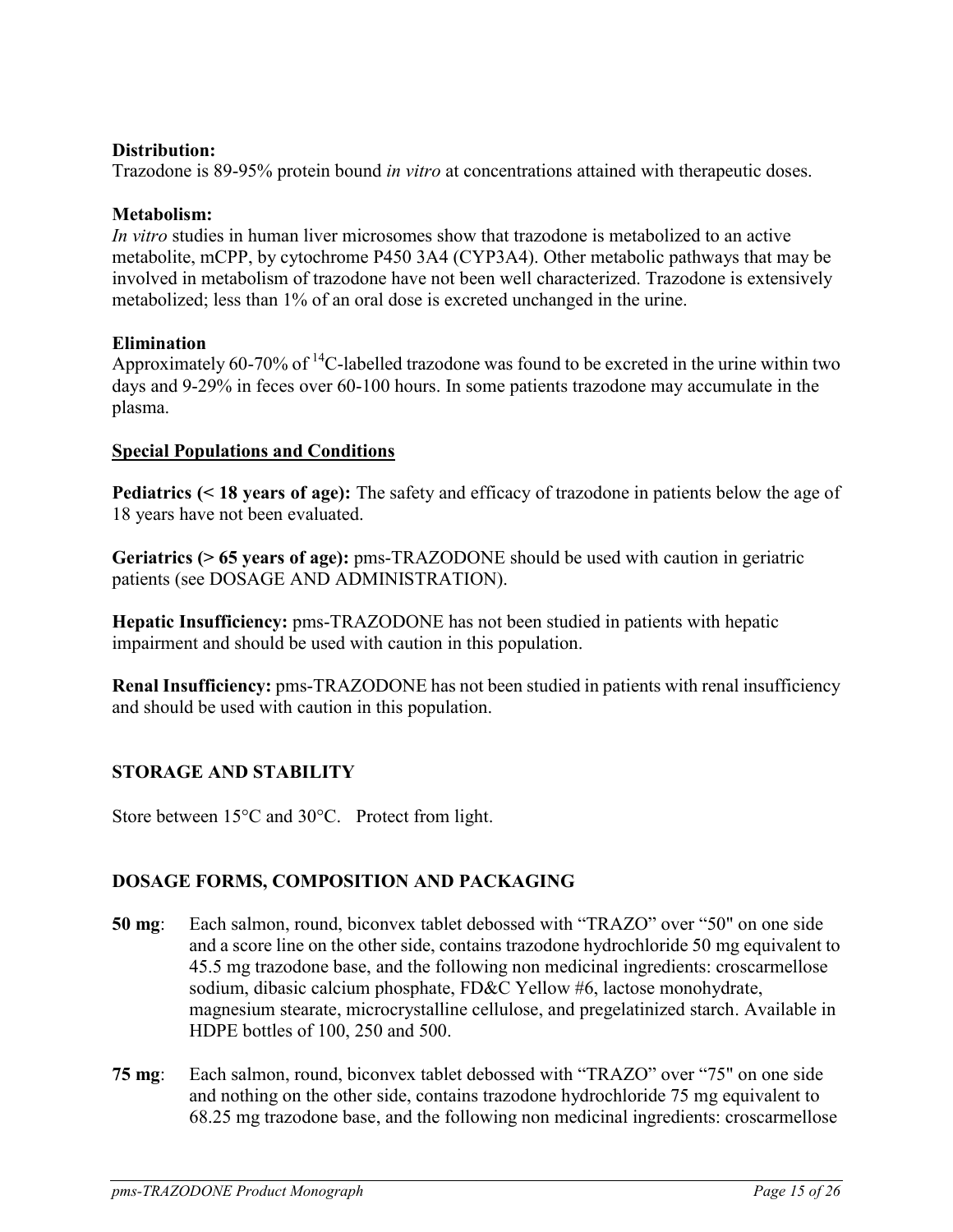### **Distribution:**

Trazodone is 89-95% protein bound *in vitro* at concentrations attained with therapeutic doses.

#### **Metabolism:**

*In vitro* studies in human liver microsomes show that trazodone is metabolized to an active metabolite, mCPP, by cytochrome P450 3A4 (CYP3A4). Other metabolic pathways that may be involved in metabolism of trazodone have not been well characterized. Trazodone is extensively metabolized; less than 1% of an oral dose is excreted unchanged in the urine.

#### **Elimination**

Approximately 60-70% of <sup>14</sup>C-labelled trazodone was found to be excreted in the urine within two days and 9-29% in feces over 60-100 hours. In some patients trazodone may accumulate in the plasma.

#### **Special Populations and Conditions**

**Pediatrics (< 18 years of age):** The safety and efficacy of trazodone in patients below the age of 18 years have not been evaluated.

**Geriatrics (> 65 years of age):** pms-TRAZODONE should be used with caution in geriatric patients (see DOSAGE AND ADMINISTRATION).

**Hepatic Insufficiency:** pms-TRAZODONE has not been studied in patients with hepatic impairment and should be used with caution in this population.

**Renal Insufficiency:** pms-TRAZODONE has not been studied in patients with renal insufficiency and should be used with caution in this population.

### <span id="page-14-0"></span>**STORAGE AND STABILITY**

Store between  $15^{\circ}$ C and  $30^{\circ}$ C. Protect from light.

### <span id="page-14-1"></span>**DOSAGE FORMS, COMPOSITION AND PACKAGING**

- **50 mg**: Each salmon, round, biconvex tablet debossed with "TRAZO" over "50" on one side and a score line on the other side, contains trazodone hydrochloride 50 mg equivalent to 45.5 mg trazodone base, and the following non medicinal ingredients: croscarmellose sodium, dibasic calcium phosphate, FD&C Yellow #6, lactose monohydrate, magnesium stearate, microcrystalline cellulose, and pregelatinized starch. Available in HDPE bottles of 100, 250 and 500.
- **75 mg**: Each salmon, round, biconvex tablet debossed with "TRAZO" over "75" on one side and nothing on the other side, contains trazodone hydrochloride 75 mg equivalent to 68.25 mg trazodone base, and the following non medicinal ingredients: croscarmellose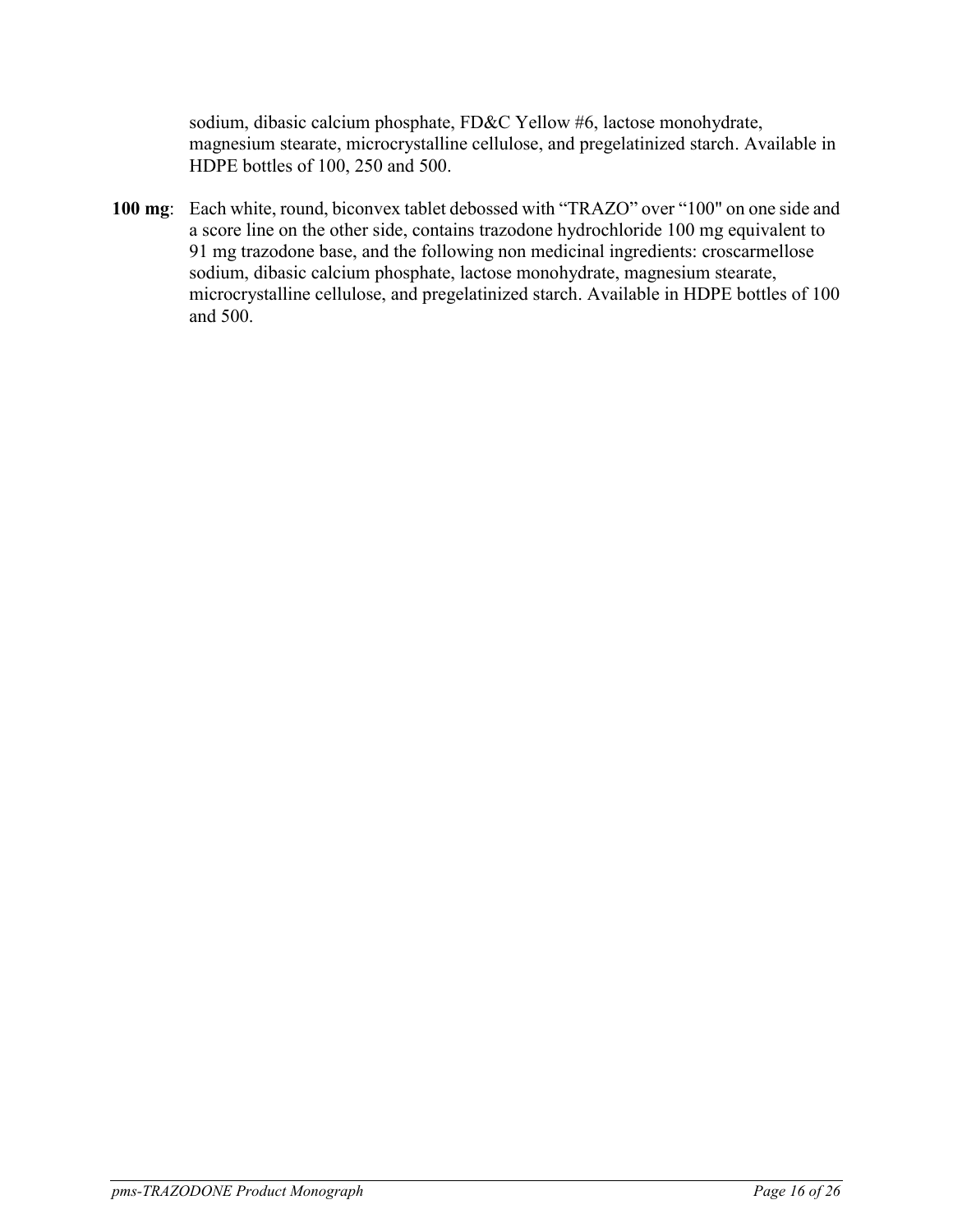sodium, dibasic calcium phosphate, FD&C Yellow #6, lactose monohydrate, magnesium stearate, microcrystalline cellulose, and pregelatinized starch. Available in HDPE bottles of 100, 250 and 500.

**100 mg**: Each white, round, biconvex tablet debossed with "TRAZO" over "100" on one side and a score line on the other side, contains trazodone hydrochloride 100 mg equivalent to 91 mg trazodone base, and the following non medicinal ingredients: croscarmellose sodium, dibasic calcium phosphate, lactose monohydrate, magnesium stearate, microcrystalline cellulose, and pregelatinized starch. Available in HDPE bottles of 100 and 500.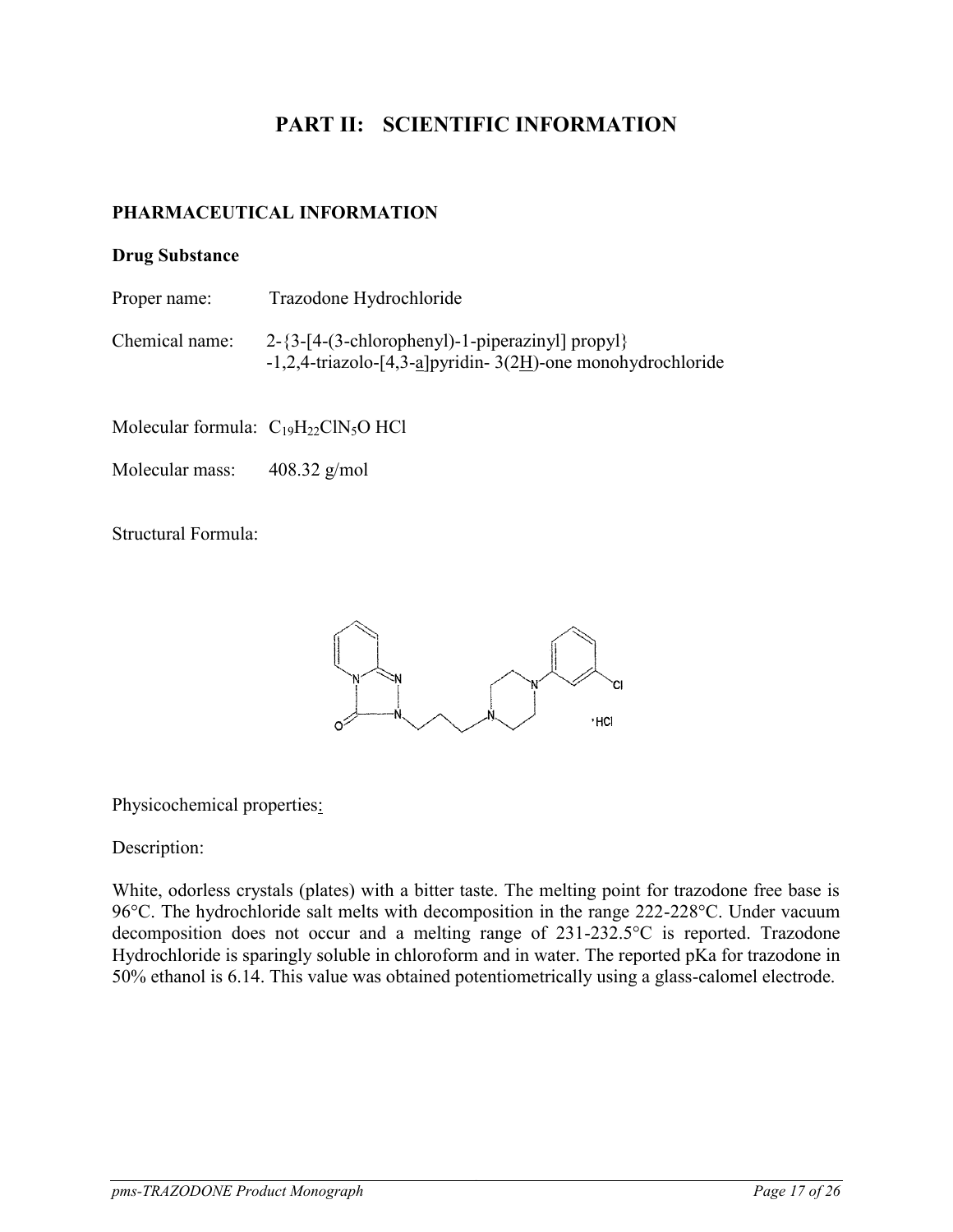# <span id="page-16-1"></span><span id="page-16-0"></span>**PART II: SCIENTIFIC INFORMATION**

## **PHARMACEUTICAL INFORMATION**

#### **Drug Substance**

- Proper name: Trazodone Hydrochloride
- Chemical name: 2-{3-[4-(3-chlorophenyl)-1-piperazinyl] propyl} -1,2,4-triazolo-[4,3-a]pyridin- 3(2H)-one monohydrochloride

Molecular formula:  $C_{19}H_{22}CN_5O$  HCl

Molecular mass: 408.32 g/mol

Structural Formula:



Physicochemical properties:

Description:

White, odorless crystals (plates) with a bitter taste. The melting point for trazodone free base is 96°C. The hydrochloride salt melts with decomposition in the range 222-228°C. Under vacuum decomposition does not occur and a melting range of 231-232.5°C is reported. Trazodone Hydrochloride is sparingly soluble in chloroform and in water. The reported pKa for trazodone in 50% ethanol is 6.14. This value was obtained potentiometrically using a glass-calomel electrode.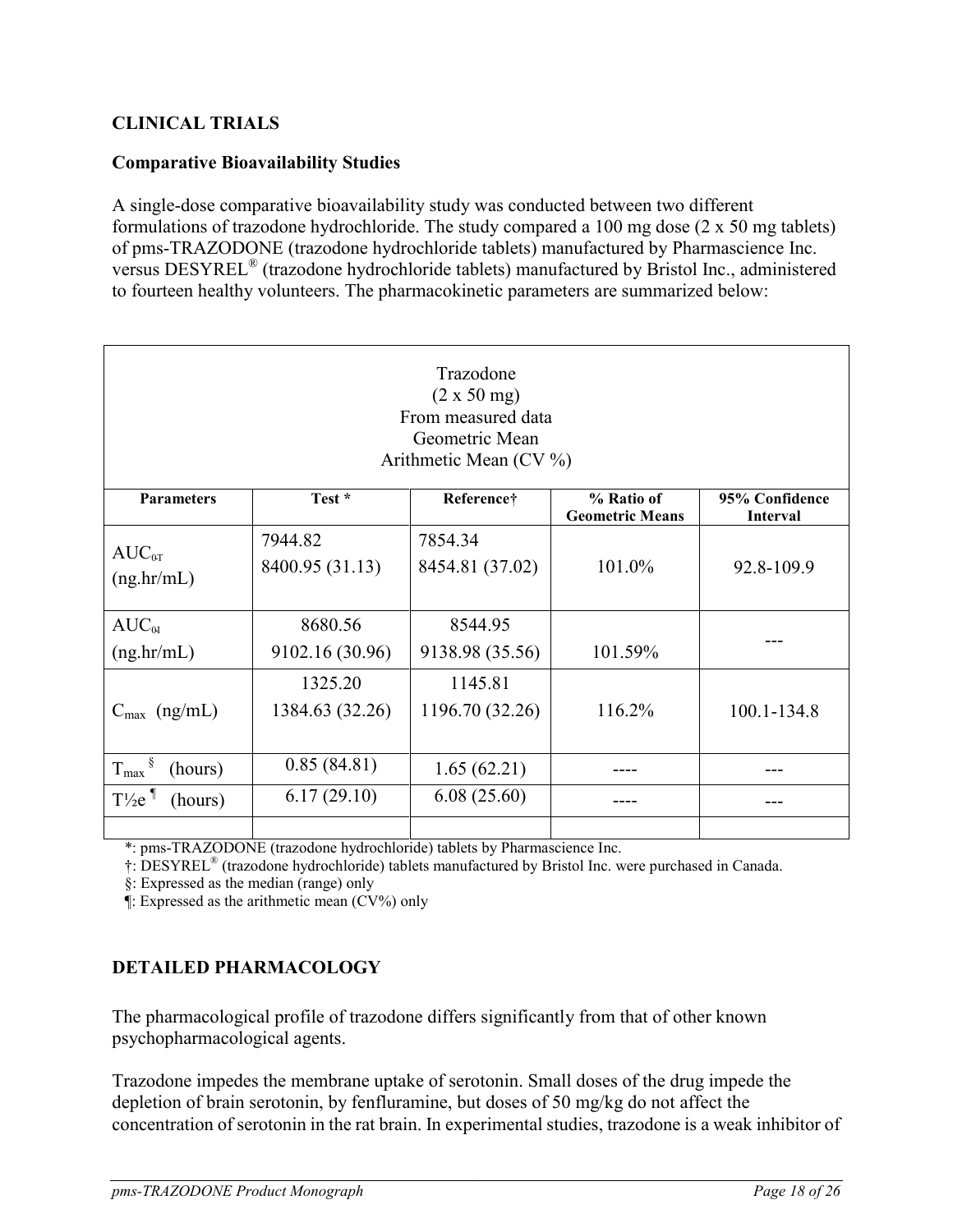## <span id="page-17-0"></span>**CLINICAL TRIALS**

### **Comparative Bioavailability Studies**

A single-dose comparative bioavailability study was conducted between two different formulations of trazodone hydrochloride. The study compared a 100 mg dose (2 x 50 mg tablets) of pms-TRAZODONE (trazodone hydrochloride tablets) manufactured by Pharmascience Inc. versus DESYREL® (trazodone hydrochloride tablets) manufactured by Bristol Inc., administered to fourteen healthy volunteers. The pharmacokinetic parameters are summarized below:

| Trazodone<br>(2 x 50 mg)<br>From measured data<br>Geometric Mean<br>Arithmetic Mean (CV %) |                            |                            |                                      |                                   |
|--------------------------------------------------------------------------------------------|----------------------------|----------------------------|--------------------------------------|-----------------------------------|
| <b>Parameters</b>                                                                          | Test *                     | Reference†                 | % Ratio of<br><b>Geometric Means</b> | 95% Confidence<br><b>Interval</b> |
| $AUC_{0T}$<br>(ng,hr/mL)                                                                   | 7944.82<br>8400.95 (31.13) | 7854.34<br>8454.81 (37.02) | 101.0%                               | 92.8-109.9                        |
| $AUC_{\alpha}$<br>(ng/hr/mL)                                                               | 8680.56<br>9102.16 (30.96) | 8544.95<br>9138.98 (35.56) | 101.59%                              |                                   |
| $C_{\text{max}}$ (ng/mL)                                                                   | 1325.20<br>1384.63 (32.26) | 1145.81<br>1196.70 (32.26) | 116.2%                               | 100.1-134.8                       |
| $T_{\text{max}}$ <sup>§</sup><br>(hours)                                                   | 0.85(84.81)                | 1.65(62.21)                |                                      |                                   |
| $T\frac{1}{2}e^{\eta}$<br>(hours)                                                          | 6.17(29.10)                | 6.08(25.60)                |                                      |                                   |
|                                                                                            |                            |                            |                                      |                                   |

\*: pms-TRAZODONE (trazodone hydrochloride) tablets by Pharmascience Inc.

†: DESYREL® (trazodone hydrochloride) tablets manufactured by Bristol Inc. were purchased in Canada.

§: Expressed as the median (range) only

<span id="page-17-1"></span>¶: Expressed as the arithmetic mean (CV%) only

## **DETAILED PHARMACOLOGY**

The pharmacological profile of trazodone differs significantly from that of other known psychopharmacological agents.

Trazodone impedes the membrane uptake of serotonin. Small doses of the drug impede the depletion of brain serotonin, by fenfluramine, but doses of 50 mg/kg do not affect the concentration of serotonin in the rat brain. In experimental studies, trazodone is a weak inhibitor of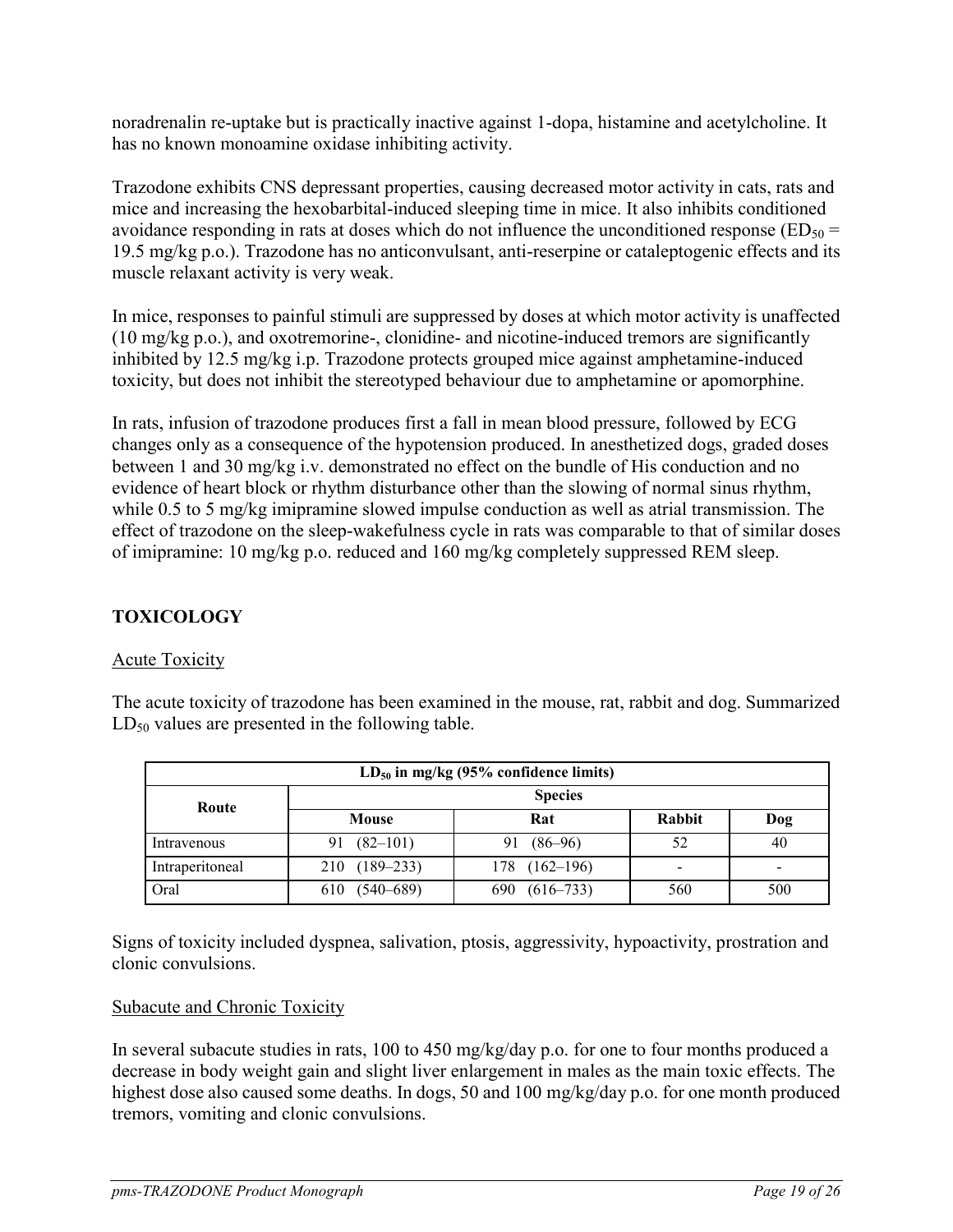noradrenalin re-uptake but is practically inactive against 1-dopa, histamine and acetylcholine. It has no known monoamine oxidase inhibiting activity.

Trazodone exhibits CNS depressant properties, causing decreased motor activity in cats, rats and mice and increasing the hexobarbital-induced sleeping time in mice. It also inhibits conditioned avoidance responding in rats at doses which do not influence the unconditioned response ( $ED_{50}$  = 19.5 mg/kg p.o.). Trazodone has no anticonvulsant, anti-reserpine or cataleptogenic effects and its muscle relaxant activity is very weak.

In mice, responses to painful stimuli are suppressed by doses at which motor activity is unaffected (10 mg/kg p.o.), and oxotremorine-, clonidine- and nicotine-induced tremors are significantly inhibited by 12.5 mg/kg i.p. Trazodone protects grouped mice against amphetamine-induced toxicity, but does not inhibit the stereotyped behaviour due to amphetamine or apomorphine.

In rats, infusion of trazodone produces first a fall in mean blood pressure, followed by ECG changes only as a consequence of the hypotension produced. In anesthetized dogs, graded doses between 1 and 30 mg/kg i.v. demonstrated no effect on the bundle of His conduction and no evidence of heart block or rhythm disturbance other than the slowing of normal sinus rhythm, while 0.5 to 5 mg/kg imipramine slowed impulse conduction as well as atrial transmission. The effect of trazodone on the sleep-wakefulness cycle in rats was comparable to that of similar doses of imipramine: 10 mg/kg p.o. reduced and 160 mg/kg completely suppressed REM sleep.

## <span id="page-18-0"></span>**TOXICOLOGY**

## Acute Toxicity

The acute toxicity of trazodone has been examined in the mouse, rat, rabbit and dog. Summarized  $LD_{50}$  values are presented in the following table.

| $LD_{50}$ in mg/kg (95% confidence limits) |                    |                   |                          |     |
|--------------------------------------------|--------------------|-------------------|--------------------------|-----|
| Route                                      | <b>Species</b>     |                   |                          |     |
|                                            | Mouse              | Rat               | <b>Rabbit</b>            | Dog |
| Intravenous                                | $(82 - 101)$<br>91 | $(86 - 96)$<br>91 | 52                       | 40  |
| Intraperitoneal                            | 210 (189-233)      | $178$ $(162-196)$ | $\overline{\phantom{a}}$ |     |
| Oral                                       | 610 (540-689)      | $690(616-733)$    | 560                      | 500 |

Signs of toxicity included dyspnea, salivation, ptosis, aggressivity, hypoactivity, prostration and clonic convulsions.

## Subacute and Chronic Toxicity

In several subacute studies in rats, 100 to 450 mg/kg/day p.o. for one to four months produced a decrease in body weight gain and slight liver enlargement in males as the main toxic effects. The highest dose also caused some deaths. In dogs, 50 and 100 mg/kg/day p.o. for one month produced tremors, vomiting and clonic convulsions.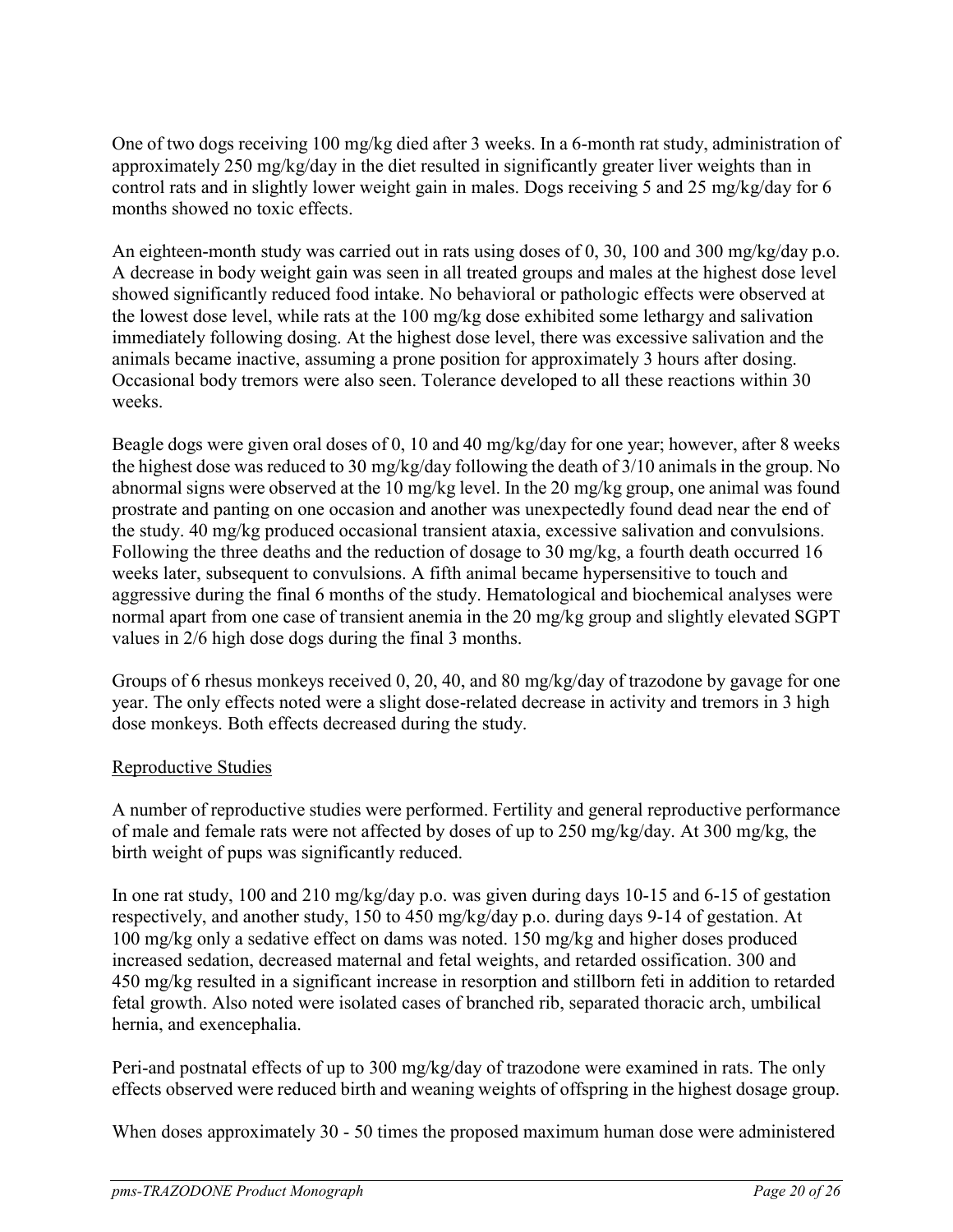One of two dogs receiving 100 mg/kg died after 3 weeks. In a 6-month rat study, administration of approximately 250 mg/kg/day in the diet resulted in significantly greater liver weights than in control rats and in slightly lower weight gain in males. Dogs receiving 5 and 25 mg/kg/day for 6 months showed no toxic effects.

An eighteen-month study was carried out in rats using doses of 0, 30, 100 and 300 mg/kg/day p.o. A decrease in body weight gain was seen in all treated groups and males at the highest dose level showed significantly reduced food intake. No behavioral or pathologic effects were observed at the lowest dose level, while rats at the 100 mg/kg dose exhibited some lethargy and salivation immediately following dosing. At the highest dose level, there was excessive salivation and the animals became inactive, assuming a prone position for approximately 3 hours after dosing. Occasional body tremors were also seen. Tolerance developed to all these reactions within 30 weeks.

Beagle dogs were given oral doses of 0, 10 and 40 mg/kg/day for one year; however, after 8 weeks the highest dose was reduced to 30 mg/kg/day following the death of 3/10 animals in the group. No abnormal signs were observed at the 10 mg/kg level. In the 20 mg/kg group, one animal was found prostrate and panting on one occasion and another was unexpectedly found dead near the end of the study. 40 mg/kg produced occasional transient ataxia, excessive salivation and convulsions. Following the three deaths and the reduction of dosage to 30 mg/kg, a fourth death occurred 16 weeks later, subsequent to convulsions. A fifth animal became hypersensitive to touch and aggressive during the final 6 months of the study. Hematological and biochemical analyses were normal apart from one case of transient anemia in the 20 mg/kg group and slightly elevated SGPT values in 2/6 high dose dogs during the final 3 months.

Groups of 6 rhesus monkeys received 0, 20, 40, and 80 mg/kg/day of trazodone by gavage for one year. The only effects noted were a slight dose-related decrease in activity and tremors in 3 high dose monkeys. Both effects decreased during the study.

## Reproductive Studies

A number of reproductive studies were performed. Fertility and general reproductive performance of male and female rats were not affected by doses of up to 250 mg/kg/day. At 300 mg/kg, the birth weight of pups was significantly reduced.

In one rat study, 100 and 210 mg/kg/day p.o. was given during days 10-15 and 6-15 of gestation respectively, and another study, 150 to 450 mg/kg/day p.o. during days 9-14 of gestation. At 100 mg/kg only a sedative effect on dams was noted. 150 mg/kg and higher doses produced increased sedation, decreased maternal and fetal weights, and retarded ossification. 300 and 450 mg/kg resulted in a significant increase in resorption and stillborn feti in addition to retarded fetal growth. Also noted were isolated cases of branched rib, separated thoracic arch, umbilical hernia, and exencephalia.

Peri-and postnatal effects of up to 300 mg/kg/day of trazodone were examined in rats. The only effects observed were reduced birth and weaning weights of offspring in the highest dosage group.

When doses approximately 30 - 50 times the proposed maximum human dose were administered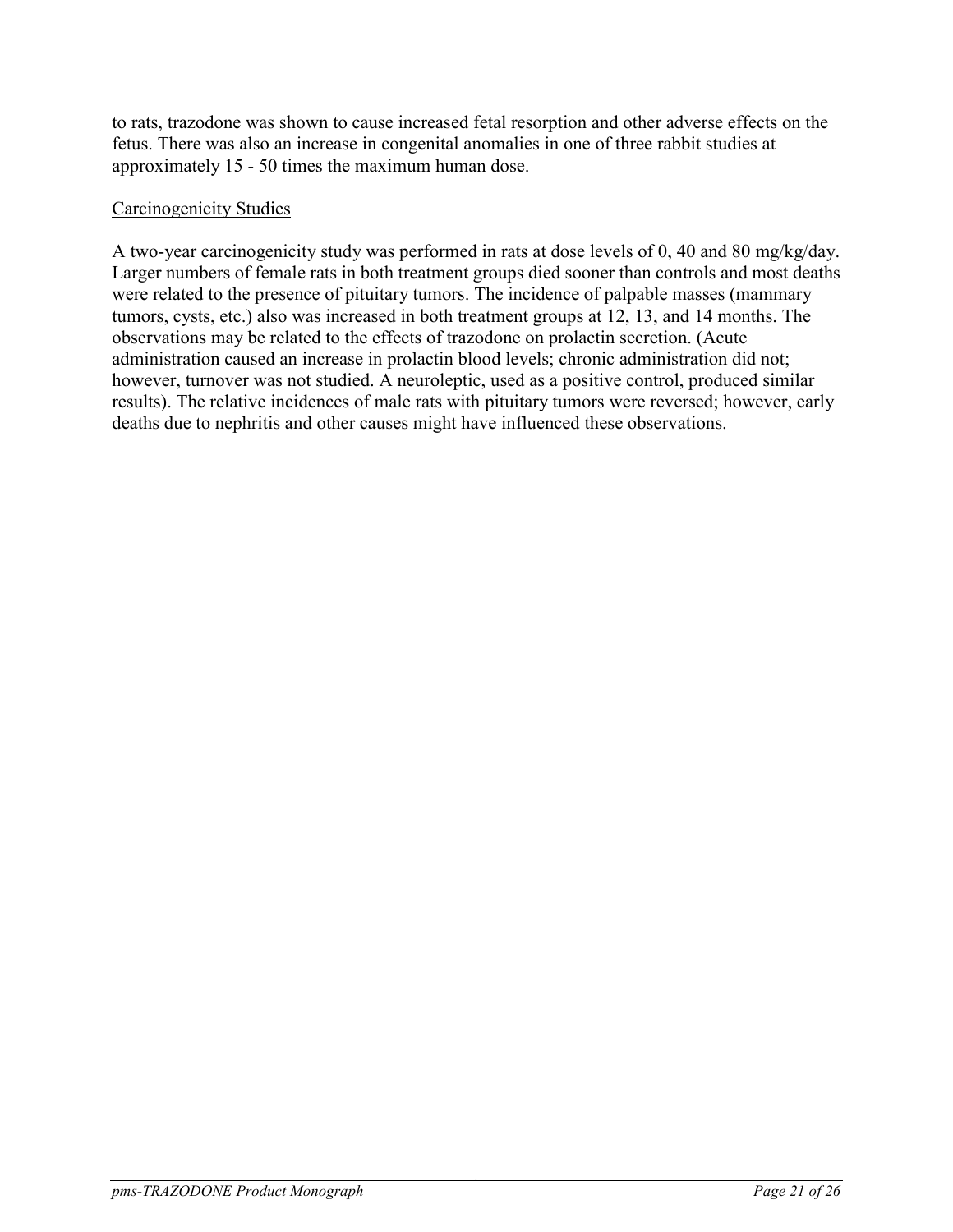to rats, trazodone was shown to cause increased fetal resorption and other adverse effects on the fetus. There was also an increase in congenital anomalies in one of three rabbit studies at approximately 15 - 50 times the maximum human dose.

### Carcinogenicity Studies

A two-year carcinogenicity study was performed in rats at dose levels of 0, 40 and 80 mg/kg/day. Larger numbers of female rats in both treatment groups died sooner than controls and most deaths were related to the presence of pituitary tumors. The incidence of palpable masses (mammary tumors, cysts, etc.) also was increased in both treatment groups at 12, 13, and 14 months. The observations may be related to the effects of trazodone on prolactin secretion. (Acute administration caused an increase in prolactin blood levels; chronic administration did not; however, turnover was not studied. A neuroleptic, used as a positive control, produced similar results). The relative incidences of male rats with pituitary tumors were reversed; however, early deaths due to nephritis and other causes might have influenced these observations.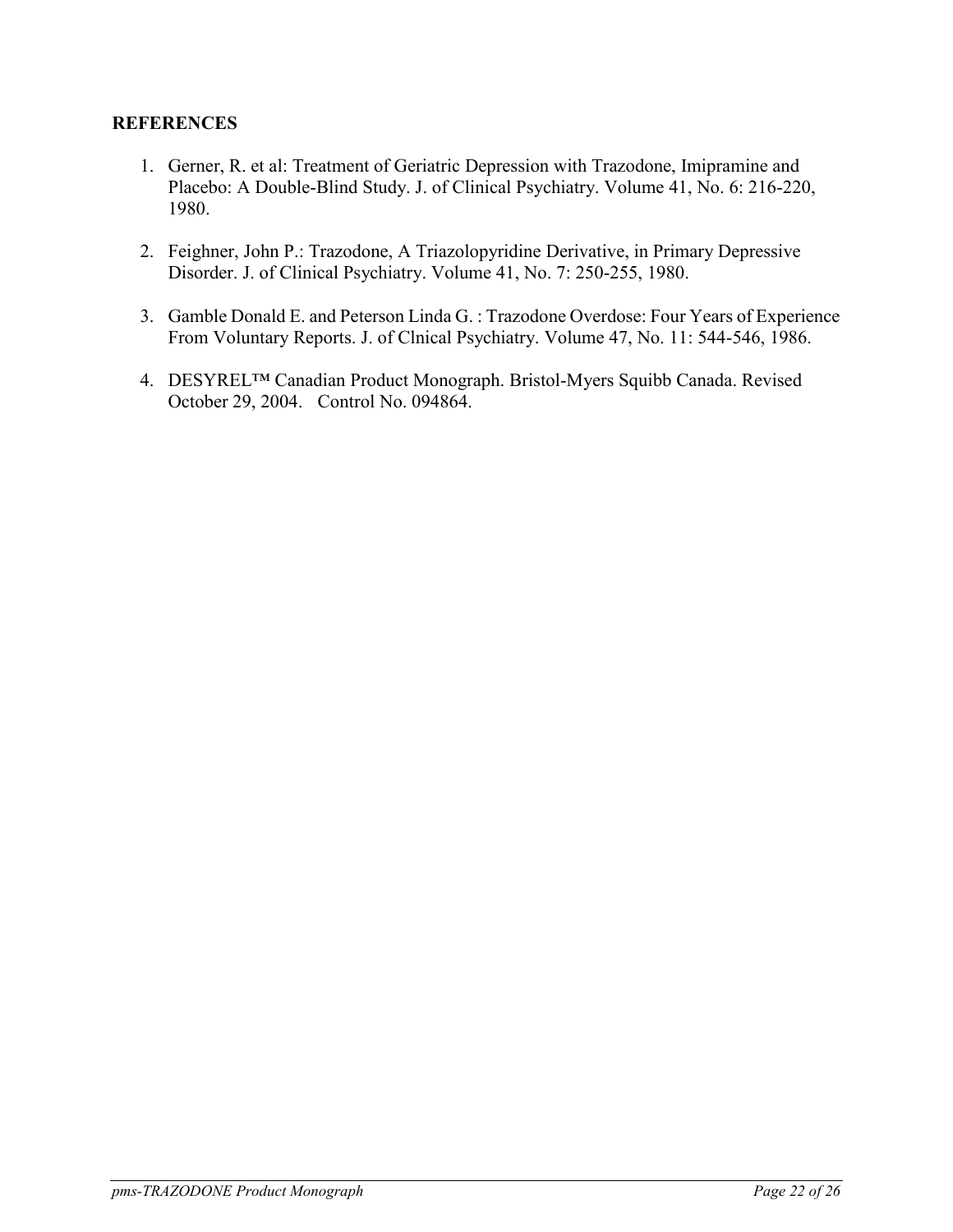### **REFERENCES**

- <span id="page-21-0"></span>1. Gerner, R. et al: Treatment of Geriatric Depression with Trazodone, Imipramine and Placebo: A Double-Blind Study. J. of Clinical Psychiatry. Volume 41, No. 6: 216-220, 1980.
- 2. Feighner, John P.: Trazodone, A Triazolopyridine Derivative, in Primary Depressive Disorder. J. of Clinical Psychiatry. Volume 41, No. 7: 250-255, 1980.
- 3. Gamble Donald E. and Peterson Linda G. : Trazodone Overdose: Four Years of Experience From Voluntary Reports. J. of Clnical Psychiatry. Volume 47, No. 11: 544-546, 1986.
- 4. DESYREL™ Canadian Product Monograph. Bristol-Myers Squibb Canada. Revised October 29, 2004. Control No. 094864.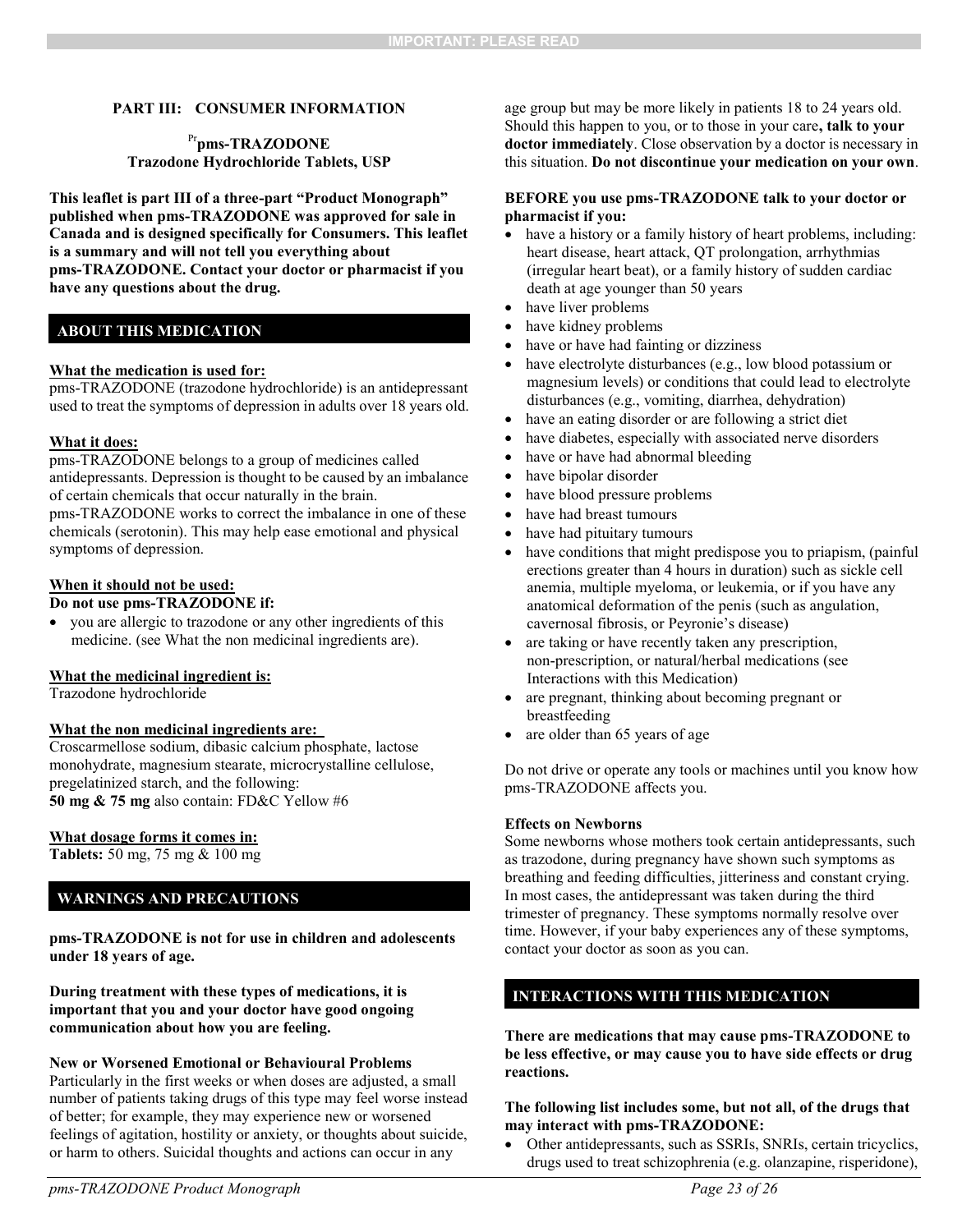#### **PART III: CONSUMER INFORMATION**

#### Pr**pms-TRAZODONE Trazodone Hydrochloride Tablets, USP**

**This leaflet is part III of a three-part "Product Monograph" published when pms-TRAZODONE was approved for sale in Canada and is designed specifically for Consumers. This leaflet is a summary and will not tell you everything about pms-TRAZODONE. Contact your doctor or pharmacist if you have any questions about the drug.** 

#### **ABOUT THIS MEDICATION**

#### **What the medication is used for:**

pms-TRAZODONE (trazodone hydrochloride) is an antidepressant used to treat the symptoms of depression in adults over 18 years old.

#### **What it does:**

pms-TRAZODONE belongs to a group of medicines called

antidepressants. Depression is thought to be caused by an imbalance of certain chemicals that occur naturally in the brain.

pms-TRAZODONE works to correct the imbalance in one of these chemicals (serotonin). This may help ease emotional and physical symptoms of depression.

#### **When it should not be used:**

#### **Do not use pms-TRAZODONE if:**

 you are allergic to trazodone or any other ingredients of this medicine. (see What the non medicinal ingredients are).

#### **What the medicinal ingredient is:**

Trazodone hydrochloride

#### **What the non medicinal ingredients are:**

Croscarmellose sodium, dibasic calcium phosphate, lactose monohydrate, magnesium stearate, microcrystalline cellulose, pregelatinized starch, and the following: **50 mg & 75 mg** also contain: FD&C Yellow #6

#### **What dosage forms it comes in:**

**Tablets:** 50 mg, 75 mg & 100 mg

### **WARNINGS AND PRECAUTIONS**

**pms-TRAZODONE is not for use in children and adolescents under 18 years of age.**

**During treatment with these types of medications, it is important that you and your doctor have good ongoing communication about how you are feeling.**

#### **New or Worsened Emotional or Behavioural Problems**

Particularly in the first weeks or when doses are adjusted, a small number of patients taking drugs of this type may feel worse instead of better; for example, they may experience new or worsened feelings of agitation, hostility or anxiety, or thoughts about suicide, or harm to others. Suicidal thoughts and actions can occur in any

<span id="page-22-0"></span>age group but may be more likely in patients 18 to 24 years old. Should this happen to you, or to those in your care**, talk to your doctor immediately**. Close observation by a doctor is necessary in this situation. **Do not discontinue your medication on your own**.

#### **BEFORE you use pms-TRAZODONE talk to your doctor or pharmacist if you:**

- have a history or a family history of heart problems, including: heart disease, heart attack, QT prolongation, arrhythmias (irregular heart beat), or a family history of sudden cardiac death at age younger than 50 years
- have liver problems
- have kidney problems
- have or have had fainting or dizziness
- have electrolyte disturbances (e.g., low blood potassium or magnesium levels) or conditions that could lead to electrolyte disturbances (e.g., vomiting, diarrhea, dehydration)
- have an eating disorder or are following a strict diet
- have diabetes, especially with associated nerve disorders
- have or have had abnormal bleeding
- have bipolar disorder
- have blood pressure problems
- have had breast tumours
- have had pituitary tumours
- have conditions that might predispose you to priapism, (painful erections greater than 4 hours in duration) such as sickle cell anemia, multiple myeloma, or leukemia, or if you have any anatomical deformation of the penis (such as angulation, cavernosal fibrosis, or Peyronie's disease)
- are taking or have recently taken any prescription, non-prescription, or natural/herbal medications (see Interactions with this Medication)
- are pregnant, thinking about becoming pregnant or breastfeeding
- are older than 65 years of age

Do not drive or operate any tools or machines until you know how pms-TRAZODONE affects you.

#### **Effects on Newborns**

Some newborns whose mothers took certain antidepressants, such as trazodone, during pregnancy have shown such symptoms as breathing and feeding difficulties, jitteriness and constant crying. In most cases, the antidepressant was taken during the third trimester of pregnancy. These symptoms normally resolve over time. However, if your baby experiences any of these symptoms, contact your doctor as soon as you can.

### **INTERACTIONS WITH THIS MEDICATION**

**There are medications that may cause pms-TRAZODONE to be less effective, or may cause you to have side effects or drug reactions.** 

#### **The following list includes some, but not all, of the drugs that may interact with pms-TRAZODONE:**

 Other antidepressants, such as SSRIs, SNRIs, certain tricyclics, drugs used to treat schizophrenia (e.g. olanzapine, risperidone),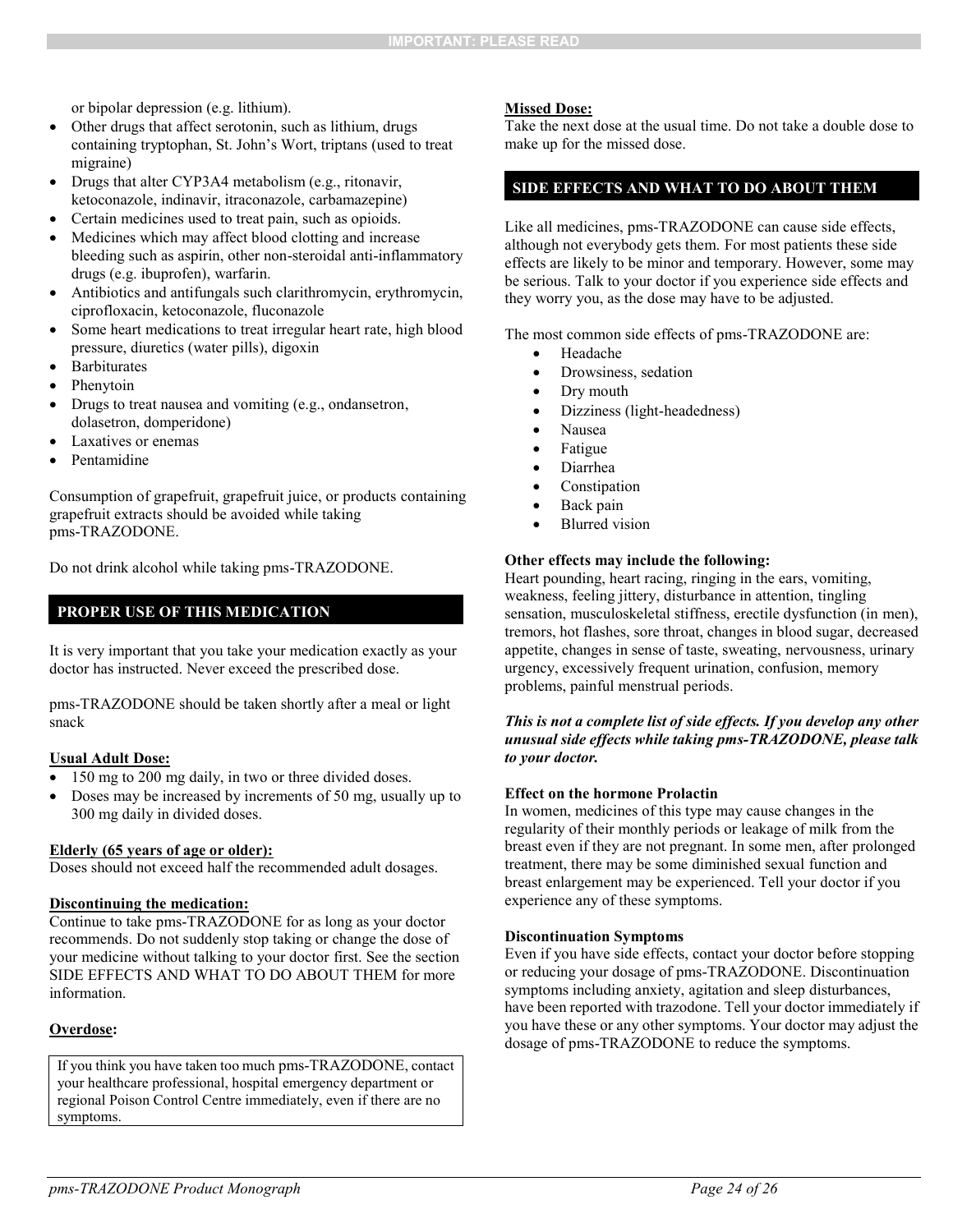or bipolar depression (e.g. lithium).

- Other drugs that affect serotonin, such as lithium, drugs containing tryptophan, St. John's Wort, triptans (used to treat migraine)
- Drugs that alter CYP3A4 metabolism (e.g., ritonavir, ketoconazole, indinavir, itraconazole, carbamazepine)
- Certain medicines used to treat pain, such as opioids.
- Medicines which may affect blood clotting and increase bleeding such as aspirin, other non-steroidal anti-inflammatory drugs (e.g. ibuprofen), warfarin.
- Antibiotics and antifungals such clarithromycin, erythromycin, ciprofloxacin, ketoconazole, fluconazole
- Some heart medications to treat irregular heart rate, high blood pressure, diuretics (water pills), digoxin
- **Barbiturates**
- Phenytoin
- Drugs to treat nausea and vomiting (e.g., ondansetron, dolasetron, domperidone)
- Laxatives or enemas
- Pentamidine

Consumption of grapefruit, grapefruit juice, or products containing grapefruit extracts should be avoided while taking pms-TRAZODONE.

Do not drink alcohol while taking pms-TRAZODONE.

#### **PROPER USE OF THIS MEDICATION**

It is very important that you take your medication exactly as your doctor has instructed. Never exceed the prescribed dose.

pms-TRAZODONE should be taken shortly after a meal or light snack

#### **Usual Adult Dose:**

- 150 mg to 200 mg daily, in two or three divided doses.
- Doses may be increased by increments of 50 mg, usually up to 300 mg daily in divided doses.

#### **Elderly (65 years of age or older):**

Doses should not exceed half the recommended adult dosages.

#### **Discontinuing the medication:**

Continue to take pms-TRAZODONE for as long as your doctor recommends. Do not suddenly stop taking or change the dose of your medicine without talking to your doctor first. See the section SIDE EFFECTS AND WHAT TO DO ABOUT THEM for more information.

#### **Overdose:**

If you think you have taken too much pms-TRAZODONE, contact your healthcare professional, hospital emergency department or regional Poison Control Centre immediately, even if there are no symptoms.

#### **Missed Dose:**

Take the next dose at the usual time. Do not take a double dose to make up for the missed dose.

#### **SIDE EFFECTS AND WHAT TO DO ABOUT THEM**

Like all medicines, pms-TRAZODONE can cause side effects, although not everybody gets them. For most patients these side effects are likely to be minor and temporary. However, some may be serious. Talk to your doctor if you experience side effects and they worry you, as the dose may have to be adjusted.

The most common side effects of pms-TRAZODONE are:

- Headache
- Drowsiness, sedation
- Dry mouth
- Dizziness (light-headedness)
- Nausea
- Fatigue
- Diarrhea
- **•** Constipation
- Back pain
- Blurred vision

#### **Other effects may include the following:**

Heart pounding, heart racing, ringing in the ears, vomiting, weakness, feeling jittery, disturbance in attention, tingling sensation, musculoskeletal stiffness, erectile dysfunction (in men), tremors, hot flashes, sore throat, changes in blood sugar, decreased appetite, changes in sense of taste, sweating, nervousness, urinary urgency, excessively frequent urination, confusion, memory problems, painful menstrual periods.

#### *This is not a complete list of side effects. If you develop any other unusual side effects while taking pms-TRAZODONE, please talk to your doctor.*

#### **Effect on the hormone Prolactin**

In women, medicines of this type may cause changes in the regularity of their monthly periods or leakage of milk from the breast even if they are not pregnant. In some men, after prolonged treatment, there may be some diminished sexual function and breast enlargement may be experienced. Tell your doctor if you experience any of these symptoms.

#### **Discontinuation Symptoms**

Even if you have side effects, contact your doctor before stopping or reducing your dosage of pms-TRAZODONE. Discontinuation symptoms including anxiety, agitation and sleep disturbances, have been reported with trazodone. Tell your doctor immediately if you have these or any other symptoms. Your doctor may adjust the dosage of pms-TRAZODONE to reduce the symptoms.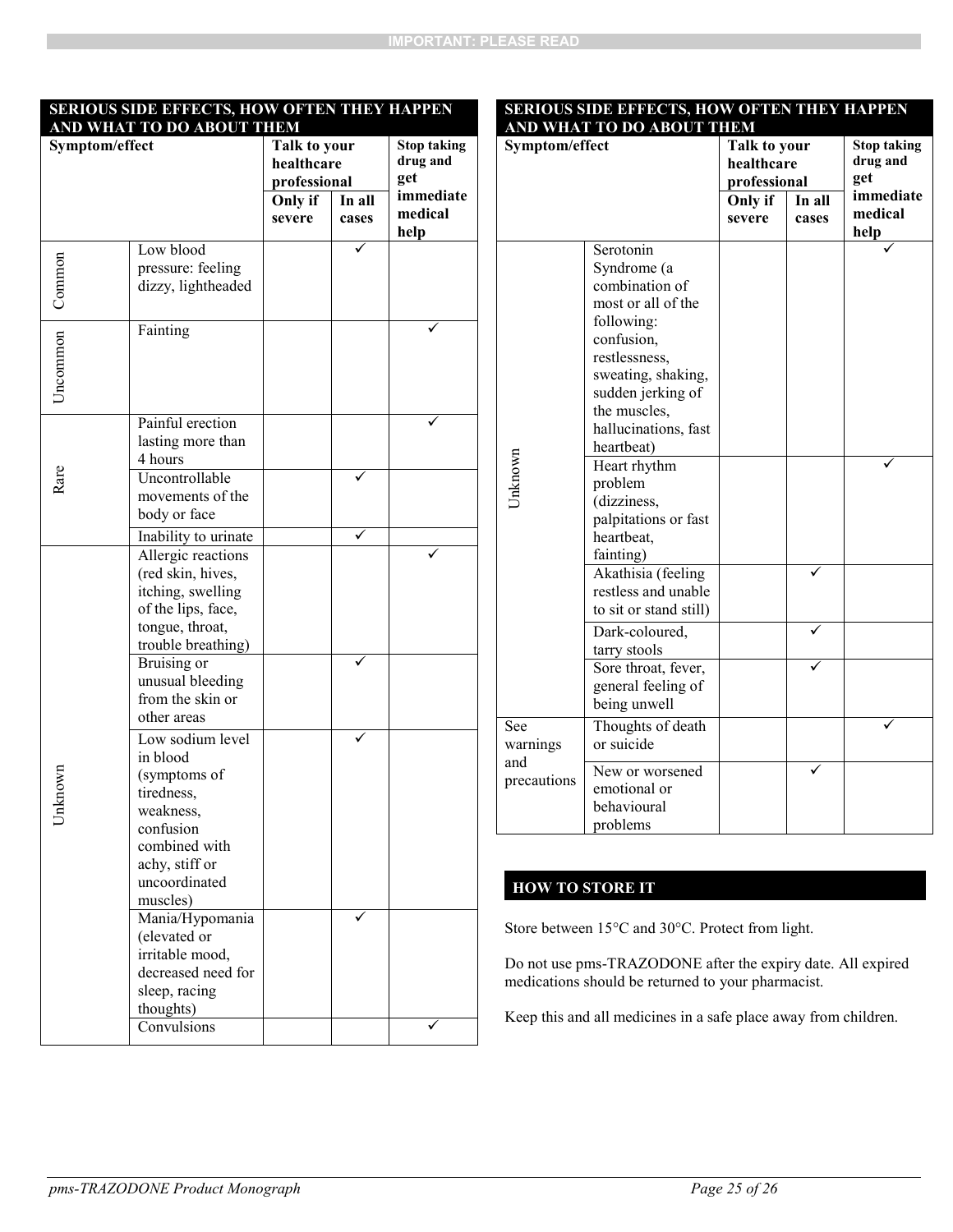#### **SERIOUS SIDE EFFECTS, HOW OFTEN THEY HAPPEN AND WHAT TO DO ABOUT THEM**

#### **SERIOUS SIDE EFFECTS, HOW OFTEN THEY HAPPEN AND WHAT TO DO ABOUT THEM**

| Α<br>Symptom/effect |                                                                                                                                            | ו שוש<br>Talk to your<br>healthcare<br>professional |        | <b>Stop taking</b><br>drug and<br>get |
|---------------------|--------------------------------------------------------------------------------------------------------------------------------------------|-----------------------------------------------------|--------|---------------------------------------|
|                     |                                                                                                                                            | Only if                                             | In all | immediate                             |
|                     |                                                                                                                                            | severe                                              | cases  | medical<br>help                       |
| Common              | Low blood<br>pressure: feeling<br>dizzy, lightheaded                                                                                       |                                                     |        |                                       |
| Uncommon            | Fainting                                                                                                                                   |                                                     |        |                                       |
|                     | Painful erection<br>lasting more than<br>4 hours                                                                                           |                                                     |        |                                       |
| Rare                | Uncontrollable<br>movements of the<br>body or face<br>Inability to urinate                                                                 |                                                     |        |                                       |
| Jnknown             | Allergic reactions<br>(red skin, hives,<br>itching, swelling<br>of the lips, face,<br>tongue, throat,<br>trouble breathing)<br>Bruising or |                                                     |        |                                       |
|                     | unusual bleeding<br>from the skin or<br>other areas<br>Low sodium level                                                                    |                                                     |        |                                       |
|                     | in blood<br>(symptoms of<br>tiredness,<br>weakness,<br>confusion<br>combined with<br>achy, stiff or<br>uncoordinated<br>muscles)           |                                                     |        |                                       |
|                     | Mania/Hypomania<br>(elevated or<br>irritable mood,<br>decreased need for<br>sleep, racing<br>thoughts)                                     |                                                     |        |                                       |
|                     | Convulsions                                                                                                                                |                                                     |        |                                       |

| Symptom/effect                        |                                                                                                                                                                          | Talk to your               |        | <b>Stop taking</b> |
|---------------------------------------|--------------------------------------------------------------------------------------------------------------------------------------------------------------------------|----------------------------|--------|--------------------|
|                                       |                                                                                                                                                                          | healthcare<br>professional |        | drug and           |
|                                       |                                                                                                                                                                          |                            |        | get                |
|                                       |                                                                                                                                                                          | Only if                    | In all | immediate          |
|                                       |                                                                                                                                                                          | severe                     | cases  | medical            |
|                                       |                                                                                                                                                                          |                            |        | help               |
| Jnknown                               | Serotonin<br>Syndrome (a<br>combination of<br>most or all of the<br>following:<br>confusion,<br>restlessness,<br>sweating, shaking,<br>sudden jerking of<br>the muscles, |                            |        |                    |
|                                       | hallucinations, fast<br>heartbeat)                                                                                                                                       |                            |        |                    |
|                                       | Heart rhythm<br>problem<br>(dizziness,<br>palpitations or fast<br>heartbeat,<br>fainting)                                                                                |                            |        |                    |
|                                       | Akathisia (feeling<br>restless and unable<br>to sit or stand still)                                                                                                      |                            |        |                    |
|                                       | Dark-coloured,<br>tarry stools                                                                                                                                           |                            |        |                    |
|                                       | Sore throat, fever,<br>general feeling of<br>being unwell                                                                                                                |                            |        |                    |
| See<br>warnings<br>and<br>precautions | Thoughts of death<br>or suicide                                                                                                                                          |                            |        |                    |
|                                       | New or worsened<br>emotional or<br>behavioural<br>problems                                                                                                               |                            |        |                    |

## **HOW TO STORE IT**

Store between 15°C and 30°C. Protect from light.

Do not use pms-TRAZODONE after the expiry date. All expired medications should be returned to your pharmacist.

Keep this and all medicines in a safe place away from children.